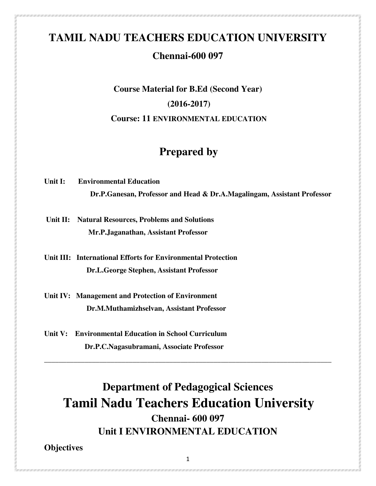# **TAMIL NADU TEACHERS EDUCATION UNIVERSITY**

## **Chennai-600 097**

# **Course Material for B.Ed (Second Year) (2016-2017) Course: 11 ENVIRONMENTAL EDUCATION**

# **Prepared by**

**Unit I: Environmental Education Dr.P.Ganesan, Professor and Head & Dr.A.Magalingam, Assistant Professor** 

 **Unit II: Natural Resources, Problems and Solutions Mr.P.Jaganathan, Assistant Professor** 

**Unit III: International Efforts for Environmental Protection Dr.L.George Stephen, Assistant Professor** 

**Unit IV: Management and Protection of Environment Dr.M.Muthamizhselvan, Assistant Professor** 

**Unit V: Environmental Education in School Curriculum Dr.P.C.Nagasubramani, Associate Professor** 

**Department of Pedagogical Sciences Tamil Nadu Teachers Education University Chennai- 600 097 Unit I ENVIRONMENTAL EDUCATION** 

**\_\_\_\_\_\_\_\_\_\_\_\_\_\_\_\_\_\_\_\_\_\_\_\_\_\_\_\_\_\_\_\_\_\_\_\_\_\_\_\_\_\_\_\_\_\_\_\_\_\_\_\_\_\_\_\_\_\_\_\_\_\_\_\_\_\_\_\_\_\_\_\_\_\_\_\_\_\_** 

**Objectives** 

1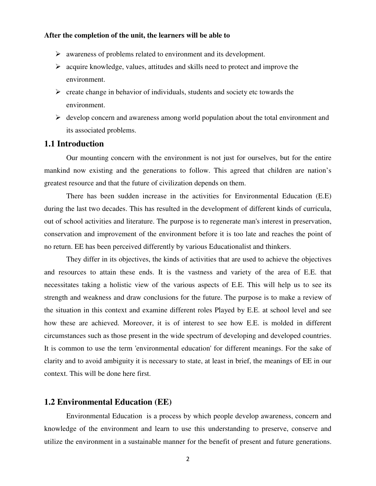#### **After the completion of the unit, the learners will be able to**

- awareness of problems related to environment and its development.
- $\triangleright$  acquire knowledge, values, attitudes and skills need to protect and improve the environment.
- $\triangleright$  create change in behavior of individuals, students and society etc towards the environment.
- $\triangleright$  develop concern and awareness among world population about the total environment and its associated problems.

#### **1.1 Introduction**

Our mounting concern with the environment is not just for ourselves, but for the entire mankind now existing and the generations to follow. This agreed that children are nation's greatest resource and that the future of civilization depends on them.

There has been sudden increase in the activities for Environmental Education (E.E) during the last two decades. This has resulted in the development of different kinds of curricula, out of school activities and literature. The purpose is to regenerate man's interest in preservation, conservation and improvement of the environment before it is too late and reaches the point of no return. EE has been perceived differently by various Educationalist and thinkers.

They differ in its objectives, the kinds of activities that are used to achieve the objectives and resources to attain these ends. It is the vastness and variety of the area of E.E. that necessitates taking a holistic view of the various aspects of E.E. This will help us to see its strength and weakness and draw conclusions for the future. The purpose is to make a review of the situation in this context and examine different roles Played by E.E. at school level and see how these are achieved. Moreover, it is of interest to see how E.E. is molded in different circumstances such as those present in the wide spectrum of developing and developed countries. It is common to use the term 'environmental education' for different meanings. For the sake of clarity and to avoid ambiguity it is necessary to state, at least in brief, the meanings of EE in our context. This will be done here first.

## **1.2 Environmental Education (EE)**

Environmental Education is a process by which people develop awareness, concern and knowledge of the environment and learn to use this understanding to preserve, conserve and utilize the environment in a sustainable manner for the benefit of present and future generations.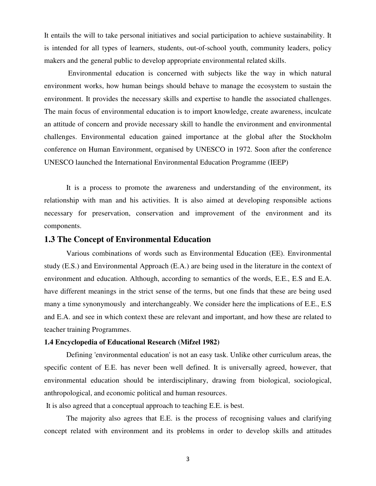It entails the will to take personal initiatives and social participation to achieve sustainability. It is intended for all types of learners, students, out-of-school youth, community leaders, policy makers and the general public to develop appropriate environmental related skills.

 Environmental education is concerned with subjects like the way in which natural environment works, how human beings should behave to manage the ecosystem to sustain the environment. It provides the necessary skills and expertise to handle the associated challenges. The main focus of environmental education is to import knowledge, create awareness, inculcate an attitude of concern and provide necessary skill to handle the environment and environmental challenges. Environmental education gained importance at the global after the Stockholm conference on Human Environment, organised by UNESCO in 1972. Soon after the conference UNESCO launched the International Environmental Education Programme (IEEP)

It is a process to promote the awareness and understanding of the environment, its relationship with man and his activities. It is also aimed at developing responsible actions necessary for preservation, conservation and improvement of the environment and its components.

#### **1.3 The Concept of Environmental Education**

Various combinations of words such as Environmental Education (EE). Environmental study (E.S.) and Environmental Approach (E.A.) are being used in the literature in the context of environment and education. Although, according to semantics of the words, E.E., E.S and E.A. have different meanings in the strict sense of the terms, but one finds that these are being used many a time synonymously and interchangeably. We consider here the implications of E.E., E.S and E.A. and see in which context these are relevant and important, and how these are related to teacher training Programmes.

#### **1.4 Encyclopedia of Educational Research (Mifzel 1982)**

Defining 'environmental education' is not an easy task. Unlike other curriculum areas, the specific content of E.E. has never been well defined. It is universally agreed, however, that environmental education should be interdisciplinary, drawing from biological, sociological, anthropological, and economic political and human resources.

It is also agreed that a conceptual approach to teaching E.E. is best.

The majority also agrees that E.E. is the process of recognising values and clarifying concept related with environment and its problems in order to develop skills and attitudes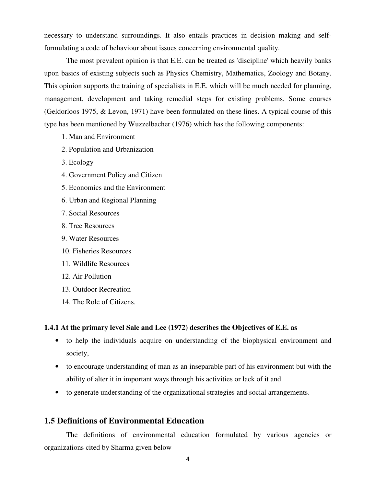necessary to understand surroundings. It also entails practices in decision making and selfformulating a code of behaviour about issues concerning environmental quality.

The most prevalent opinion is that E.E. can be treated as 'discipline' which heavily banks upon basics of existing subjects such as Physics Chemistry, Mathematics, Zoology and Botany. This opinion supports the training of specialists in E.E. which will be much needed for planning, management, development and taking remedial steps for existing problems. Some courses (Geldorloos 1975, & Levon, 1971) have been formulated on these lines. A typical course of this type has been mentioned by Wuzzelbacher (1976) which has the following components:

- 1. Man and Environment
- 2. Population and Urbanization
- 3. Ecology
- 4. Government Policy and Citizen
- 5. Economics and the Environment
- 6. Urban and Regional Planning
- 7. Social Resources
- 8. Tree Resources
- 9. Water Resources
- 10. Fisheries Resources
- 11. Wildlife Resources
- 12. Air Pollution
- 13. Outdoor Recreation
- 14. The Role of Citizens.

#### **1.4.1 At the primary level Sale and Lee (1972) describes the Objectives of E.E. as**

- to help the individuals acquire on understanding of the biophysical environment and society,
- to encourage understanding of man as an inseparable part of his environment but with the ability of alter it in important ways through his activities or lack of it and
- to generate understanding of the organizational strategies and social arrangements.

## **1.5 Definitions of Environmental Education**

The definitions of environmental education formulated by various agencies or organizations cited by Sharma given below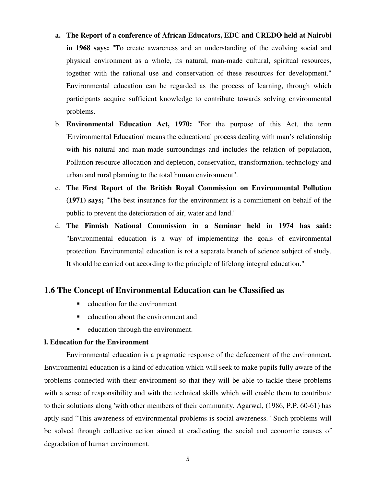- **a. The Report of a conference of African Educators, EDC and CREDO held at Nairobi in 1968 says:** "To create awareness and an understanding of the evolving social and physical environment as a whole, its natural, man-made cultural, spiritual resources, together with the rational use and conservation of these resources for development." Environmental education can be regarded as the process of learning, through which participants acquire sufficient knowledge to contribute towards solving environmental problems.
- b. **Environmental Education Act, 1970:** "For the purpose of this Act, the term 'Environmental Education' means the educational process dealing with man's relationship with his natural and man-made surroundings and includes the relation of population, Pollution resource allocation and depletion, conservation, transformation, technology and urban and rural planning to the total human environment".
- c. **The First Report of the British Royal Commission on Environmental Pollution (1971) says;** "The best insurance for the environment is a commitment on behalf of the public to prevent the deterioration of air, water and land."
- d. **The Finnish National Commission in a Seminar held in 1974 has said:**  "Environmental education is a way of implementing the goals of environmental protection. Environmental education is rot a separate branch of science subject of study. It should be carried out according to the principle of lifelong integral education."

## **1.6 The Concept of Environmental Education can be Classified as**

- $\blacksquare$  education for the environment
- $\blacksquare$  education about the environment and
- **-** education through the environment.

### **l. Education for the Environment**

Environmental education is a pragmatic response of the defacement of the environment. Environmental education is a kind of education which will seek to make pupils fully aware of the problems connected with their environment so that they will be able to tackle these problems with a sense of responsibility and with the technical skills which will enable them to contribute to their solutions along 'with other members of their community. Agarwal, (1986, P.P. 60-61) has aptly said "This awareness of environmental problems is social awareness." Such problems will be solved through collective action aimed at eradicating the social and economic causes of degradation of human environment.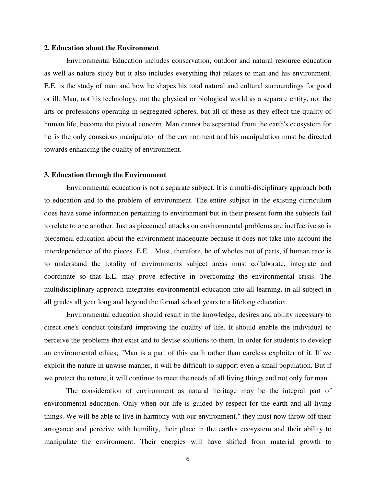#### **2. Education about the Environment**

Environmental Education includes conservation, outdoor and natural resource education as well as nature study but it also includes everything that relates to man and his environment. E.E. is the study of man and how he shapes his total natural and cultural surroundings for good or ill. Man, not his technology, not the physical or biological world as a separate entity, not the arts or professions operating in segregated spheres, but all of these as they effect the quality of human life, become the pivotal concern. Man cannot be separated from the earth's ecosystem for he 'is the only conscious manipulator of the environment and his manipulation must be directed towards enhancing the quality of environment.

#### **3. Education through the Environment**

Environmental education is not a separate subject. It is a multi-disciplinary approach both to education and to the problem of environment. The entire subject in the existing curriculum does have some information pertaining to environment but in their present form the subjects fail to relate to one another. Just as piecemeal attacks on environmental problems are ineffective so is piecemeal education about the environment inadequate because it does not take into account the interdependence of the pieces. E.E... Must, therefore, be of wholes not of parts, if human race is to understand the totality of environments subject areas must collaborate, integrate and coordinate so that E.E. may prove effective in overcoming the environmental crisis. The multidisciplinary approach integrates environmental education into all learning, in all subject in all grades all year long and beyond the formal school years to a lifelong education.

Environmental education should result in the knowledge, desires and ability necessary to direct one's conduct toitsfard improving the quality of life. It should enable the individual to perceive the problems that exist and to devise solutions to them. In order for students to develop an environmental ethics; "Man is a part of this earth rather than careless exploiter of it. If we exploit the nature in unwise manner, it will be difficult to support even a small population. But if we protect the nature, it will continue to meet the needs of all living things and not only for man.

The consideration of environment as natural heritage may be the integral part of environmental education. Only when our life is guided by respect for the earth and all living things. We will be able to live in harmony with our environment." they must now throw off their arrogance and perceive with humility, their place in the earth's ecosystem and their ability to manipulate the environment. Their energies will have shifted from material growth to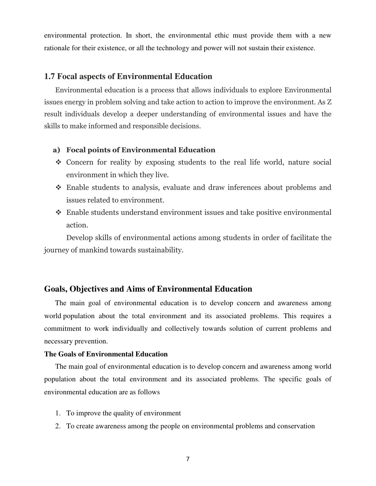environmental protection. In short, the environmental ethic must provide them with a new rationale for their existence, or all the technology and power will not sustain their existence.

#### **1.7 Focal aspects of Environmental Education**

Environmental education is a process that allows individuals to explore Environmental issues energy in problem solving and take action to action to improve the environment. As Z result individuals develop a deeper understanding of environmental issues and have the skills to make informed and responsible decisions.

### **a) Focal points of Environmental Education**

- Concern for reality by exposing students to the real life world, nature social environment in which they live.
- Enable students to analysis, evaluate and draw inferences about problems and issues related to environment.
- Enable students understand environment issues and take positive environmental action.

Develop skills of environmental actions among students in order of facilitate the journey of mankind towards sustainability.

#### **Goals, Objectives and Aims of Environmental Education**

 The main goal of environmental education is to develop concern and awareness among world population about the total environment and its associated problems. This requires a commitment to work individually and collectively towards solution of current problems and necessary prevention.

#### **The Goals of Environmental Education**

The main goal of environmental education is to develop concern and awareness among world population about the total environment and its associated problems. The specific goals of environmental education are as follows

- 1. To improve the quality of environment
- 2. To create awareness among the people on environmental problems and conservation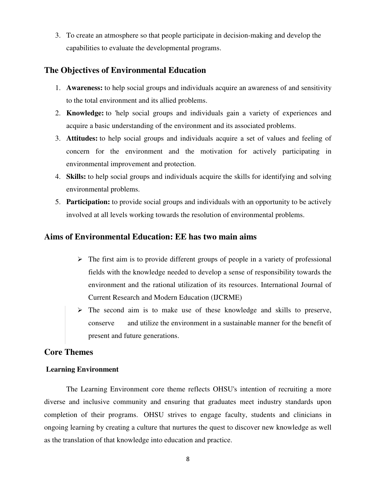3. To create an atmosphere so that people participate in decision-making and develop the capabilities to evaluate the developmental programs.

## **The Objectives of Environmental Education**

- 1. **Awareness:** to help social groups and individuals acquire an awareness of and sensitivity to the total environment and its allied problems.
- 2. **Knowledge:** to 'help social groups and individuals gain a variety of experiences and acquire a basic understanding of the environment and its associated problems.
- 3. **Attitudes:** to help social groups and individuals acquire a set of values and feeling of concern for the environment and the motivation for actively participating in environmental improvement and protection.
- 4. **Skills:** to help social groups and individuals acquire the skills for identifying and solving environmental problems.
- 5. **Participation:** to provide social groups and individuals with an opportunity to be actively involved at all levels working towards the resolution of environmental problems.

## **Aims of Environmental Education: EE has two main aims**

- $\triangleright$  The first aim is to provide different groups of people in a variety of professional fields with the knowledge needed to develop a sense of responsibility towards the environment and the rational utilization of its resources. International Journal of Current Research and Modern Education (IJCRME)
- The second aim is to make use of these knowledge and skills to preserve, conserve and utilize the environment in a sustainable manner for the benefit of present and future generations.

## **Core Themes**

## **Learning Environment**

The Learning Environment core theme reflects OHSU's intention of recruiting a more diverse and inclusive community and ensuring that graduates meet industry standards upon completion of their programs. OHSU strives to engage faculty, students and clinicians in ongoing learning by creating a culture that nurtures the quest to discover new knowledge as well as the translation of that knowledge into education and practice.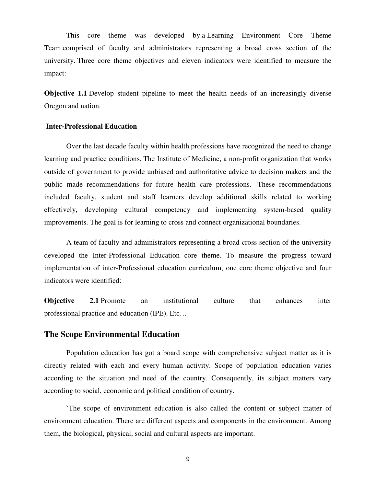This core theme was developed by a Learning Environment Core Theme Team comprised of faculty and administrators representing a broad cross section of the university. Three core theme objectives and eleven indicators were identified to measure the impact:

**Objective 1.1** Develop student pipeline to meet the health needs of an increasingly diverse Oregon and nation.

#### **Inter-Professional Education**

Over the last decade faculty within health professions have recognized the need to change learning and practice conditions. The Institute of Medicine, a non-profit organization that works outside of government to provide unbiased and authoritative advice to decision makers and the public made recommendations for future health care professions. These recommendations included faculty, student and staff learners develop additional skills related to working effectively, developing cultural competency and implementing system-based quality improvements. The goal is for learning to cross and connect organizational boundaries.

A team of faculty and administrators representing a broad cross section of the university developed the Inter-Professional Education core theme. To measure the progress toward implementation of inter-Professional education curriculum, one core theme objective and four indicators were identified:

**Objective 2.1** Promote an institutional culture that enhances inter professional practice and education (IPE). Etc…

#### **The Scope Environmental Education**

Population education has got a board scope with comprehensive subject matter as it is directly related with each and every human activity. Scope of population education varies according to the situation and need of the country. Consequently, its subject matters vary according to social, economic and political condition of country.

`The scope of environment education is also called the content or subject matter of environment education. There are different aspects and components in the environment. Among them, the biological, physical, social and cultural aspects are important.

9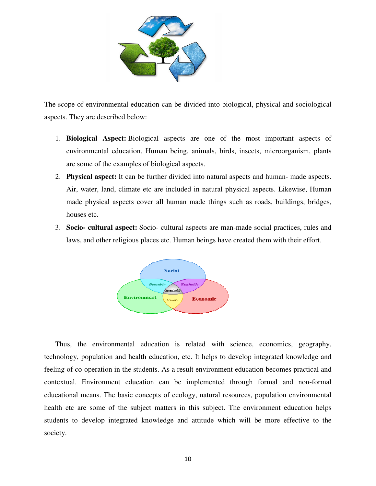

The scope of environmental education can be divided into biological, physical and sociological aspects. They are described below:

- 1. **Biological Aspect:** Biological aspects are one of the most important aspects of environmental education. Human being, animals, birds, insects, microorganism, plants are some of the examples of biological aspects.
- 2. **Physical aspect:** It can be further divided into natural aspects and human- made aspects. Air, water, land, climate etc are included in natural physical aspects. Likewise, Human made physical aspects cover all human made things such as roads, buildings, bridges, houses etc.
- 3. **Socio- cultural aspect:** Socio- cultural aspects are man-made social practices, rules and laws, and other religious places etc. Human beings have created them with their effort.



Thus, the environmental education is related with science, economics, geography, technology, population and health education, etc. It helps to develop integrated knowledge and feeling of co-operation in the students. As a result environment education becomes practical and contextual. Environment education can be implemented through formal and non-formal educational means. The basic concepts of ecology, natural resources, population environmental health etc are some of the subject matters in this subject. The environment education helps students to develop integrated knowledge and attitude which will be more effective to the society.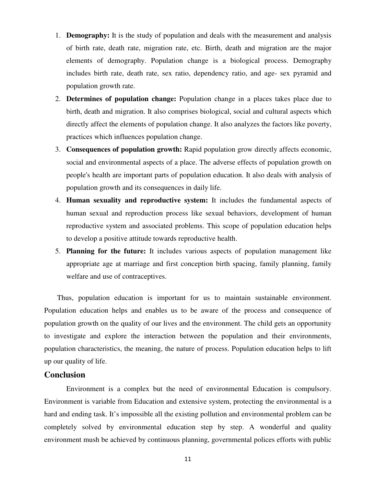- 1. **Demography:** It is the study of population and deals with the measurement and analysis of birth rate, death rate, migration rate, etc. Birth, death and migration are the major elements of demography. Population change is a biological process. Demography includes birth rate, death rate, sex ratio, dependency ratio, and age- sex pyramid and population growth rate.
- 2. **Determines of population change:** Population change in a places takes place due to birth, death and migration. It also comprises biological, social and cultural aspects which directly affect the elements of population change. It also analyzes the factors like poverty, practices which influences population change.
- 3. **Consequences of population growth:** Rapid population grow directly affects economic, social and environmental aspects of a place. The adverse effects of population growth on people's health are important parts of population education. It also deals with analysis of population growth and its consequences in daily life.
- 4. **Human sexuality and reproductive system:** It includes the fundamental aspects of human sexual and reproduction process like sexual behaviors, development of human reproductive system and associated problems. This scope of population education helps to develop a positive attitude towards reproductive health.
- 5. **Planning for the future:** It includes various aspects of population management like appropriate age at marriage and first conception birth spacing, family planning, family welfare and use of contraceptives.

 Thus, population education is important for us to maintain sustainable environment. Population education helps and enables us to be aware of the process and consequence of population growth on the quality of our lives and the environment. The child gets an opportunity to investigate and explore the interaction between the population and their environments, population characteristics, the meaning, the nature of process. Population education helps to lift up our quality of life.

## **Conclusion**

Environment is a complex but the need of environmental Education is compulsory. Environment is variable from Education and extensive system, protecting the environmental is a hard and ending task. It's impossible all the existing pollution and environmental problem can be completely solved by environmental education step by step. A wonderful and quality environment mush be achieved by continuous planning, governmental polices efforts with public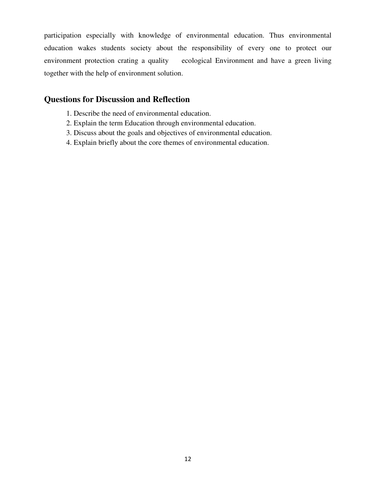participation especially with knowledge of environmental education. Thus environmental education wakes students society about the responsibility of every one to protect our environment protection crating a quality ecological Environment and have a green living together with the help of environment solution.

## **Questions for Discussion and Reflection**

- 1. Describe the need of environmental education.
- 2. Explain the term Education through environmental education.
- 3. Discuss about the goals and objectives of environmental education.
- 4. Explain briefly about the core themes of environmental education.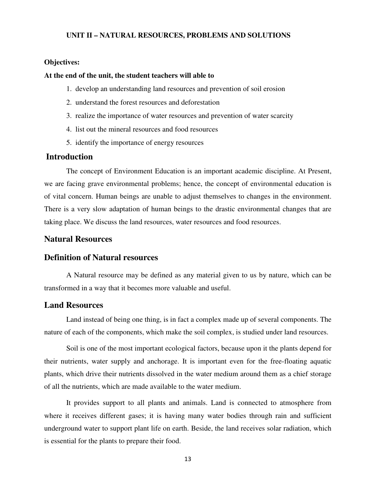#### **UNIT II – NATURAL RESOURCES, PROBLEMS AND SOLUTIONS**

#### **Objectives:**

#### **At the end of the unit, the student teachers will able to**

- 1. develop an understanding land resources and prevention of soil erosion
- 2. understand the forest resources and deforestation
- 3. realize the importance of water resources and prevention of water scarcity
- 4. list out the mineral resources and food resources
- 5. identify the importance of energy resources

## **Introduction**

The concept of Environment Education is an important academic discipline. At Present, we are facing grave environmental problems; hence, the concept of environmental education is of vital concern. Human beings are unable to adjust themselves to changes in the environment. There is a very slow adaptation of human beings to the drastic environmental changes that are taking place. We discuss the land resources, water resources and food resources.

## **Natural Resources**

#### **Definition of Natural resources**

A Natural resource may be defined as any material given to us by nature, which can be transformed in a way that it becomes more valuable and useful.

## **Land Resources**

 Land instead of being one thing, is in fact a complex made up of several components. The nature of each of the components, which make the soil complex, is studied under land resources.

 Soil is one of the most important ecological factors, because upon it the plants depend for their nutrients, water supply and anchorage. It is important even for the free-floating aquatic plants, which drive their nutrients dissolved in the water medium around them as a chief storage of all the nutrients, which are made available to the water medium.

 It provides support to all plants and animals. Land is connected to atmosphere from where it receives different gases; it is having many water bodies through rain and sufficient underground water to support plant life on earth. Beside, the land receives solar radiation, which is essential for the plants to prepare their food.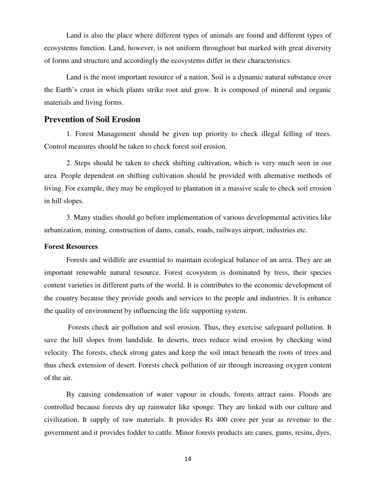Land is also the place where different types of animals are found and different types of ecosystems function. Land, however, is not uniform throughout but marked with great diversity of forms and structure and accordingly the ecosystems differ in their characteristics.

Land is the most important resource of a nation. Soil is a dynamic natural substance over the Earth's crust in which plants strike root and grow. It is composed of mineral and organic materials and living forms.

## **Prevention of Soil Erosion**

1. Forest Management should be given top priority to check illegal felling of trees. Control measures should be taken to check forest soil erosion.

2. Steps should be taken to check shifting cultivation, which is very much seen in our area. People dependent on shifting cultivation should be provided with alternative methods of living. For example, they may be employed to plantation in a massive scale to check soil erosion in hill slopes.

3. Many studies should go before implementation of various developmental activities like urbanization, mining, construction of dams, canals, roads, railways airport, industries etc.

#### **Forest Resources**

Forests and wildlife are essential to maintain ecological balance of an area. They are an important renewable natural resource. Forest ecosystem is dominated by tress, their species content varieties in different parts of the world. It is contributes to the economic development of the country because they provide goods and services to the people and industries. It is enhance the quality of environment by influencing the life supporting system.

 Forests check air pollution and soil erosion. Thus, they exercise safeguard pollution. It save the hill slopes from landslide. In deserts, trees reduce wind erosion by checking wind velocity. The forests, check strong gates and keep the soil intact beneath the roots of trees and thus check extension of desert. Forests check pollution of air through increasing oxygen content of the air.

By causing condensation of water vapour in clouds, forests attract rains. Floods are controlled because forests dry up rainwater like sponge. They are linked with our culture and civilization. It supply of raw materials. It provides Rs 400 crore per year as revenue to the government and it provides fodder to cattle. Minor forests products are canes, gums, resins, dyes,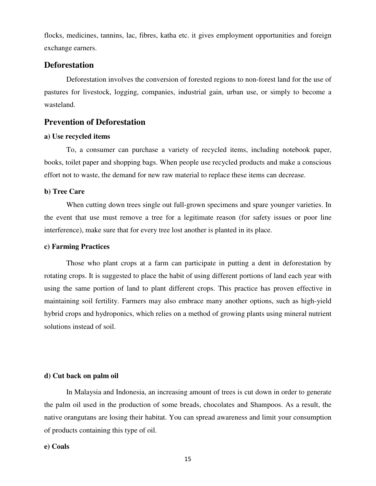flocks, medicines, tannins, lac, fibres, katha etc. it gives employment opportunities and foreign exchange earners.

## **Deforestation**

Deforestation involves the conversion of forested regions to non-forest land for the use of pastures for livestock, logging, companies, industrial gain, urban use, or simply to become a wasteland.

## **Prevention of Deforestation**

#### **a) Use recycled items**

To, a consumer can purchase a variety of recycled items, including notebook paper, books, toilet paper and shopping bags. When people use recycled products and make a conscious effort not to waste, the demand for new raw material to replace these items can decrease.

#### **b) Tree Care**

When cutting down trees single out full-grown specimens and spare younger varieties. In the event that use must remove a tree for a legitimate reason (for safety issues or poor line interference), make sure that for every tree lost another is planted in its place.

#### **c) Farming Practices**

Those who plant crops at a farm can participate in putting a dent in deforestation by rotating crops. It is suggested to place the habit of using different portions of land each year with using the same portion of land to plant different crops. This practice has proven effective in maintaining soil fertility. Farmers may also embrace many another options, such as high-yield hybrid crops and hydroponics, which relies on a method of growing plants using mineral nutrient solutions instead of soil.

#### **d) Cut back on palm oil**

In Malaysia and Indonesia, an increasing amount of trees is cut down in order to generate the palm oil used in the production of some breads, chocolates and Shampoos. As a result, the native orangutans are losing their habitat. You can spread awareness and limit your consumption of products containing this type of oil.

#### **e) Coals**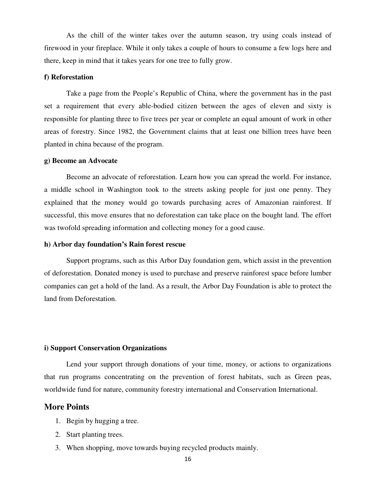As the chill of the winter takes over the autumn season, try using coals instead of firewood in your fireplace. While it only takes a couple of hours to consume a few logs here and there, keep in mind that it takes years for one tree to fully grow.

#### **f) Reforestation**

Take a page from the People's Republic of China, where the government has in the past set a requirement that every able-bodied citizen between the ages of eleven and sixty is responsible for planting three to five trees per year or complete an equal amount of work in other areas of forestry. Since 1982, the Government claims that at least one billion trees have been planted in china because of the program.

#### **g) Become an Advocate**

Become an advocate of reforestation. Learn how you can spread the world. For instance, a middle school in Washington took to the streets asking people for just one penny. They explained that the money would go towards purchasing acres of Amazonian rainforest. If successful, this move ensures that no deforestation can take place on the bought land. The effort was twofold spreading information and collecting money for a good cause.

#### **h) Arbor day foundation's Rain forest rescue**

Support programs, such as this Arbor Day foundation gem, which assist in the prevention of deforestation. Donated money is used to purchase and preserve rainforest space before lumber companies can get a hold of the land. As a result, the Arbor Day Foundation is able to protect the land from Deforestation.

#### **i) Support Conservation Organizations**

Lend your support through donations of your time, money, or actions to organizations that run programs concentrating on the prevention of forest habitats, such as Green peas, worldwide fund for nature, community forestry international and Conservation International.

#### **More Points**

- 1. Begin by hugging a tree.
- 2. Start planting trees.
- 3. When shopping, move towards buying recycled products mainly.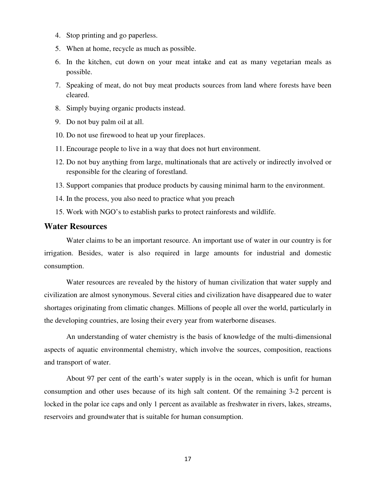- 4. Stop printing and go paperless.
- 5. When at home, recycle as much as possible.
- 6. In the kitchen, cut down on your meat intake and eat as many vegetarian meals as possible.
- 7. Speaking of meat, do not buy meat products sources from land where forests have been cleared.
- 8. Simply buying organic products instead.
- 9. Do not buy palm oil at all.
- 10. Do not use firewood to heat up your fireplaces.
- 11. Encourage people to live in a way that does not hurt environment.
- 12. Do not buy anything from large, multinationals that are actively or indirectly involved or responsible for the clearing of forestland.
- 13. Support companies that produce products by causing minimal harm to the environment.
- 14. In the process, you also need to practice what you preach
- 15. Work with NGO's to establish parks to protect rainforests and wildlife.

## **Water Resources**

Water claims to be an important resource. An important use of water in our country is for irrigation. Besides, water is also required in large amounts for industrial and domestic consumption.

 Water resources are revealed by the history of human civilization that water supply and civilization are almost synonymous. Several cities and civilization have disappeared due to water shortages originating from climatic changes. Millions of people all over the world, particularly in the developing countries, are losing their every year from waterborne diseases.

 An understanding of water chemistry is the basis of knowledge of the multi-dimensional aspects of aquatic environmental chemistry, which involve the sources, composition, reactions and transport of water.

 About 97 per cent of the earth's water supply is in the ocean, which is unfit for human consumption and other uses because of its high salt content. Of the remaining 3-2 percent is locked in the polar ice caps and only 1 percent as available as freshwater in rivers, lakes, streams, reservoirs and groundwater that is suitable for human consumption.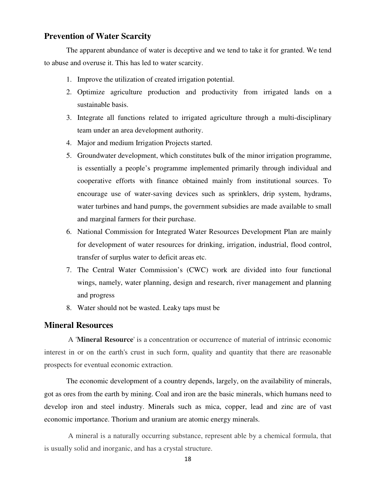## **Prevention of Water Scarcity**

 The apparent abundance of water is deceptive and we tend to take it for granted. We tend to abuse and overuse it. This has led to water scarcity.

- 1. Improve the utilization of created irrigation potential.
- 2. Optimize agriculture production and productivity from irrigated lands on a sustainable basis.
- 3. Integrate all functions related to irrigated agriculture through a multi-disciplinary team under an area development authority.
- 4. Major and medium Irrigation Projects started.
- 5. Groundwater development, which constitutes bulk of the minor irrigation programme, is essentially a people's programme implemented primarily through individual and cooperative efforts with finance obtained mainly from institutional sources. To encourage use of water-saving devices such as sprinklers, drip system, hydrams, water turbines and hand pumps, the government subsidies are made available to small and marginal farmers for their purchase.
- 6. National Commission for Integrated Water Resources Development Plan are mainly for development of water resources for drinking, irrigation, industrial, flood control, transfer of surplus water to deficit areas etc.
- 7. The Central Water Commission's (CWC) work are divided into four functional wings, namely, water planning, design and research, river management and planning and progress
- 8. Water should not be wasted. Leaky taps must be

## **Mineral Resources**

 A '**Mineral Resource**' is a concentration or occurrence of material of intrinsic economic interest in or on the earth's crust in such form, quality and quantity that there are reasonable prospects for eventual economic extraction.

 The economic development of a country depends, largely, on the availability of minerals, got as ores from the earth by mining. Coal and iron are the basic minerals, which humans need to develop iron and steel industry. Minerals such as mica, copper, lead and zinc are of vast economic importance. Thorium and uranium are atomic energy minerals.

 A mineral is a naturally occurring substance, represent able by a chemical formula, that is usually solid and inorganic, and has a crystal structure.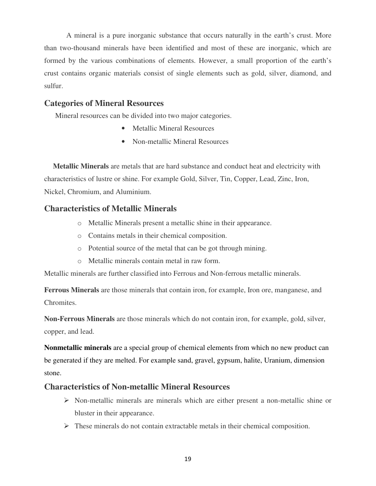A mineral is a pure inorganic substance that occurs naturally in the earth's crust. More than two-thousand minerals have been identified and most of these are inorganic, which are formed by the various combinations of elements. However, a small proportion of the earth's crust contains organic materials consist of single elements such as gold, silver, diamond, and sulfur.

## **Categories of Mineral Resources**

Mineral resources can be divided into two major categories.

- Metallic Mineral Resources
- Non-metallic Mineral Resources

**Metallic Minerals** are metals that are hard substance and conduct heat and electricity with characteristics of lustre or shine. For example Gold, Silver, Tin, Copper, Lead, Zinc, Iron, Nickel, Chromium, and Aluminium.

## **Characteristics of Metallic Minerals**

- o Metallic Minerals present a metallic shine in their appearance.
- o Contains metals in their chemical composition.
- o Potential source of the metal that can be got through mining.
- o Metallic minerals contain metal in raw form.

Metallic minerals are further classified into Ferrous and Non-ferrous metallic minerals.

**Ferrous Minerals** are those minerals that contain iron, for example, Iron ore, manganese, and Chromites.

**Non-Ferrous Minerals** are those minerals which do not contain iron, for example, gold, silver, copper, and lead.

**Nonmetallic minerals** are a special group of chemical elements from which no new product can be generated if they are melted. For example sand, gravel, gypsum, halite, Uranium, dimension stone.

## **Characteristics of Non-metallic Mineral Resources**

- $\triangleright$  Non-metallic minerals are minerals which are either present a non-metallic shine or bluster in their appearance.
- $\triangleright$  These minerals do not contain extractable metals in their chemical composition.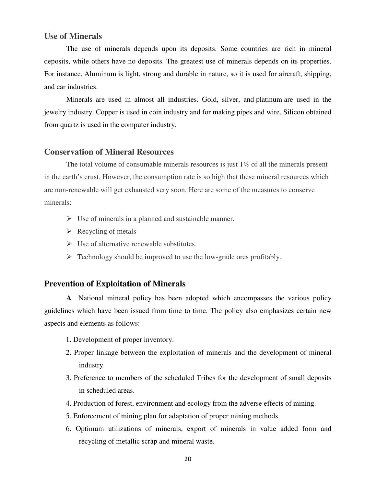## **Use of Minerals**

The use of minerals depends upon its deposits. Some countries are rich in mineral deposits, while others have no deposits. The greatest use of minerals depends on its properties. For instance, Aluminum is light, strong and durable in nature, so it is used for aircraft, shipping, and car industries.

Minerals are used in almost all industries. Gold, silver, and platinum are used in the jewelry industry. Copper is used in coin industry and for making pipes and wire. Silicon obtained from quartz is used in the computer industry.

## **Conservation of Mineral Resources**

 The total volume of consumable minerals resources is just 1% of all the minerals present in the earth's crust. However, the consumption rate is so high that these mineral resources which are non-renewable will get exhausted very soon. Here are some of the measures to conserve minerals:

- $\triangleright$  Use of minerals in a planned and sustainable manner.
- $\triangleright$  Recycling of metals
- $\triangleright$  Use of alternative renewable substitutes.
- $\triangleright$  Technology should be improved to use the low-grade ores profitably.

## **Prevention of Exploitation of Minerals**

**A** National mineral policy has been adopted which encompasses the various policy guidelines which have been issued from time to time. The policy also emphasizes certain new aspects and elements as follows:

- 1. Development of proper inventory.
- 2. Proper linkage between the exploitation of minerals and the development of mineral industry.
- 3. Preference to members of the scheduled Tribes for the development of small deposits in scheduled areas.
- 4. Production of forest, environment and ecology from the adverse effects of mining.
- 5. Enforcement of mining plan for adaptation of proper mining methods.
- 6. Optimum utilizations of minerals, export of minerals in value added form and recycling of metallic scrap and mineral waste.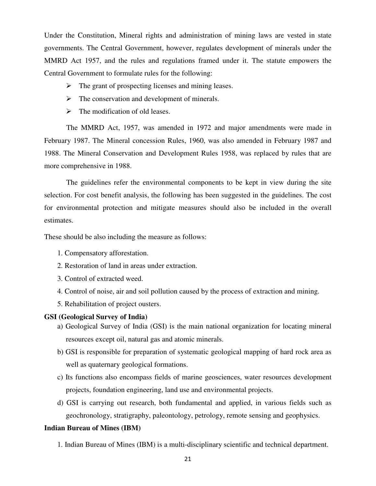Under the Constitution, Mineral rights and administration of mining laws are vested in state governments. The Central Government, however, regulates development of minerals under the MMRD Act 1957, and the rules and regulations framed under it. The statute empowers the Central Government to formulate rules for the following:

- $\triangleright$  The grant of prospecting licenses and mining leases.
- $\triangleright$  The conservation and development of minerals.
- $\triangleright$  The modification of old leases.

The MMRD Act, 1957, was amended in 1972 and major amendments were made in February 1987. The Mineral concession Rules, 1960, was also amended in February 1987 and 1988. The Mineral Conservation and Development Rules 1958, was replaced by rules that are more comprehensive in 1988.

 The guidelines refer the environmental components to be kept in view during the site selection. For cost benefit analysis, the following has been suggested in the guidelines. The cost for environmental protection and mitigate measures should also be included in the overall estimates.

These should be also including the measure as follows:

- 1. Compensatory afforestation.
- 2. Restoration of land in areas under extraction.
- 3. Control of extracted weed.
- 4. Control of noise, air and soil pollution caused by the process of extraction and mining.
- 5. Rehabilitation of project ousters.

#### **GSI (Geological Survey of India)**

- a) Geological Survey of India (GSI) is the main national organization for locating mineral resources except oil, natural gas and atomic minerals.
- b) GSI is responsible for preparation of systematic geological mapping of hard rock area as well as quaternary geological formations.
- c) Its functions also encompass fields of marine geosciences, water resources development projects, foundation engineering, land use and environmental projects.
- d) GSI is carrying out research, both fundamental and applied, in various fields such as geochronology, stratigraphy, paleontology, petrology, remote sensing and geophysics.

#### **Indian Bureau of Mines (IBM)**

1. Indian Bureau of Mines (IBM) is a multi-disciplinary scientific and technical department.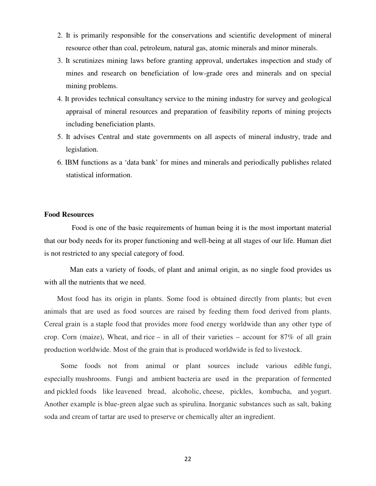- 2. It is primarily responsible for the conservations and scientific development of mineral resource other than coal, petroleum, natural gas, atomic minerals and minor minerals.
- 3. It scrutinizes mining laws before granting approval, undertakes inspection and study of mines and research on beneficiation of low-grade ores and minerals and on special mining problems.
- 4. It provides technical consultancy service to the mining industry for survey and geological appraisal of mineral resources and preparation of feasibility reports of mining projects including beneficiation plants.
- 5. It advises Central and state governments on all aspects of mineral industry, trade and legislation.
- 6. IBM functions as a 'data bank' for mines and minerals and periodically publishes related statistical information.

#### **Food Resources**

 Food is one of the basic requirements of human being it is the most important material that our body needs for its proper functioning and well-being at all stages of our life. Human diet is not restricted to any special category of food.

 Man eats a variety of foods, of plant and animal origin, as no single food provides us with all the nutrients that we need.

 Most food has its origin in plants. Some food is obtained directly from plants; but even animals that are used as food sources are raised by feeding them food derived from plants. Cereal grain is a staple food that provides more food energy worldwide than any other type of crop. Corn (maize), Wheat, and rice – in all of their varieties – account for 87% of all grain production worldwide. Most of the grain that is produced worldwide is fed to livestock.

 Some foods not from animal or plant sources include various edible fungi, especially mushrooms. Fungi and ambient bacteria are used in the preparation of fermented and pickled foods like leavened bread, alcoholic, cheese, pickles, kombucha, and yogurt. Another example is blue-green algae such as spirulina. Inorganic substances such as salt, baking soda and cream of tartar are used to preserve or chemically alter an ingredient.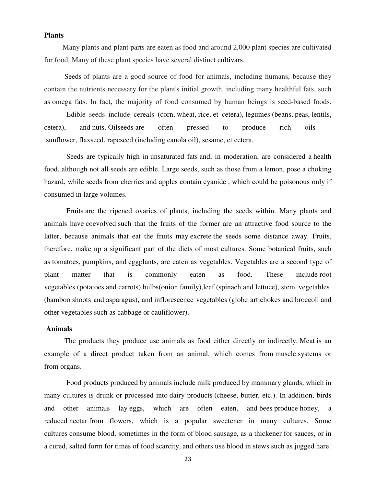#### **Plants**

 Many plants and plant parts are eaten as food and around 2,000 plant species are cultivated for food. Many of these plant species have several distinct cultivars.

 Seeds of plants are a good source of food for animals, including humans, because they contain the nutrients necessary for the plant's initial growth, including many healthful fats, such as omega fats. In fact, the majority of food consumed by human beings is seed-based foods.

 Edible seeds include cereals (corn, wheat, rice, et cetera), legumes (beans, peas, lentils, cetera), and nuts. Oilseeds are often pressed to produce rich oils sunflower, flaxseed, rapeseed (including canola oil), sesame, et cetera.

 Seeds are typically high in unsaturated fats and, in moderation, are considered a health food, although not all seeds are edible. Large seeds, such as those from a lemon, pose a choking hazard, while seeds from cherries and apples contain cyanide , which could be poisonous only if consumed in large volumes.

 Fruits are the ripened ovaries of plants, including the seeds within. Many plants and animals have coevolved such that the fruits of the former are an attractive food source to the latter, because animals that eat the fruits may excrete the seeds some distance away. Fruits, therefore, make up a significant part of the diets of most cultures. Some botanical fruits, such as tomatoes, pumpkins, and eggplants, are eaten as vegetables. Vegetables are a second type of plant matter that is commonly eaten as food. These include root vegetables (potatoes and carrots),bulbs(onion family),leaf (spinach and lettuce), stem vegetables (bamboo shoots and asparagus), and inflorescence vegetables (globe artichokes and broccoli and other vegetables such as cabbage or cauliflower).

#### **Animals**

 The products they produce use animals as food either directly or indirectly. Meat is an example of a direct product taken from an animal, which comes from muscle systems or from organs.

 Food products produced by animals include milk produced by mammary glands, which in many cultures is drunk or processed into dairy products (cheese, butter, etc.). In addition, birds and other animals lay eggs, which are often eaten, and bees produce honey, a reduced nectar from flowers, which is a popular sweetener in many cultures. Some cultures consume blood, sometimes in the form of blood sausage, as a thickener for sauces, or in a cured, salted form for times of food scarcity, and others use blood in stews such as jugged hare.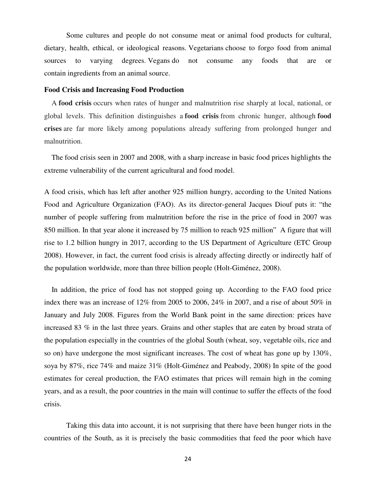Some cultures and people do not consume meat or animal food products for cultural, dietary, health, ethical, or ideological reasons. Vegetarians choose to forgo food from animal sources to varying degrees. Vegans do not consume any foods that are or contain ingredients from an animal source.

#### **Food Crisis and Increasing Food Production**

 A **food crisis** occurs when rates of hunger and malnutrition rise sharply at local, national, or global levels. This definition distinguishes a **food crisis** from chronic hunger, although **food crises** are far more likely among populations already suffering from prolonged hunger and malnutrition.

 The food crisis seen in 2007 and 2008, with a sharp increase in basic food prices highlights the extreme vulnerability of the current agricultural and food model.

A food crisis, which has left after another 925 million hungry, according to the United Nations Food and Agriculture Organization (FAO). As its director-general Jacques Diouf puts it: "the number of people suffering from malnutrition before the rise in the price of food in 2007 was 850 million. In that year alone it increased by 75 million to reach 925 million" A figure that will rise to 1.2 billion hungry in 2017, according to the US Department of Agriculture (ETC Group 2008). However, in fact, the current food crisis is already affecting directly or indirectly half of the population worldwide, more than three billion people (Holt-Giménez, 2008).

 In addition, the price of food has not stopped going up. According to the FAO food price index there was an increase of 12% from 2005 to 2006, 24% in 2007, and a rise of about 50% in January and July 2008. Figures from the World Bank point in the same direction: prices have increased 83 % in the last three years. Grains and other staples that are eaten by broad strata of the population especially in the countries of the global South (wheat, soy, vegetable oils, rice and so on) have undergone the most significant increases. The cost of wheat has gone up by 130%, soya by 87%, rice 74% and maize 31% (Holt-Giménez and Peabody, 2008) In spite of the good estimates for cereal production, the FAO estimates that prices will remain high in the coming years, and as a result, the poor countries in the main will continue to suffer the effects of the food crisis.

Taking this data into account, it is not surprising that there have been hunger riots in the countries of the South, as it is precisely the basic commodities that feed the poor which have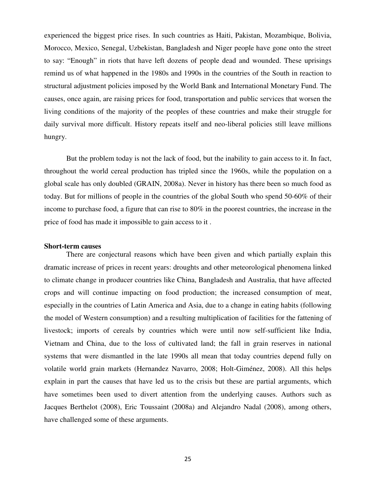experienced the biggest price rises. In such countries as Haiti, Pakistan, Mozambique, Bolivia, Morocco, Mexico, Senegal, Uzbekistan, Bangladesh and Niger people have gone onto the street to say: "Enough" in riots that have left dozens of people dead and wounded. These uprisings remind us of what happened in the 1980s and 1990s in the countries of the South in reaction to structural adjustment policies imposed by the World Bank and International Monetary Fund. The causes, once again, are raising prices for food, transportation and public services that worsen the living conditions of the majority of the peoples of these countries and make their struggle for daily survival more difficult. History repeats itself and neo-liberal policies still leave millions hungry.

But the problem today is not the lack of food, but the inability to gain access to it. In fact, throughout the world cereal production has tripled since the 1960s, while the population on a global scale has only doubled (GRAIN, 2008a). Never in history has there been so much food as today. But for millions of people in the countries of the global South who spend 50-60% of their income to purchase food, a figure that can rise to 80% in the poorest countries, the increase in the price of food has made it impossible to gain access to it .

#### **Short-term causes**

 There are conjectural reasons which have been given and which partially explain this dramatic increase of prices in recent years: droughts and other meteorological phenomena linked to climate change in producer countries like China, Bangladesh and Australia, that have affected crops and will continue impacting on food production; the increased consumption of meat, especially in the countries of Latin America and Asia, due to a change in eating habits (following the model of Western consumption) and a resulting multiplication of facilities for the fattening of livestock; imports of cereals by countries which were until now self-sufficient like India, Vietnam and China, due to the loss of cultivated land; the fall in grain reserves in national systems that were dismantled in the late 1990s all mean that today countries depend fully on volatile world grain markets (Hernandez Navarro, 2008; Holt-Giménez, 2008). All this helps explain in part the causes that have led us to the crisis but these are partial arguments, which have sometimes been used to divert attention from the underlying causes. Authors such as Jacques Berthelot (2008), Eric Toussaint (2008a) and Alejandro Nadal (2008), among others, have challenged some of these arguments.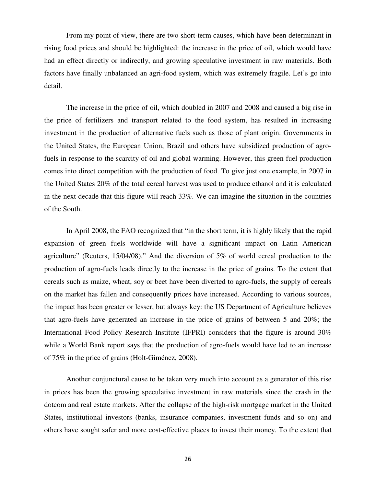From my point of view, there are two short-term causes, which have been determinant in rising food prices and should be highlighted: the increase in the price of oil, which would have had an effect directly or indirectly, and growing speculative investment in raw materials. Both factors have finally unbalanced an agri-food system, which was extremely fragile. Let's go into detail.

 The increase in the price of oil, which doubled in 2007 and 2008 and caused a big rise in the price of fertilizers and transport related to the food system, has resulted in increasing investment in the production of alternative fuels such as those of plant origin. Governments in the United States, the European Union, Brazil and others have subsidized production of agrofuels in response to the scarcity of oil and global warming. However, this green fuel production comes into direct competition with the production of food. To give just one example, in 2007 in the United States 20% of the total cereal harvest was used to produce ethanol and it is calculated in the next decade that this figure will reach 33%. We can imagine the situation in the countries of the South.

 In April 2008, the FAO recognized that "in the short term, it is highly likely that the rapid expansion of green fuels worldwide will have a significant impact on Latin American agriculture" (Reuters, 15/04/08)." And the diversion of 5% of world cereal production to the production of agro-fuels leads directly to the increase in the price of grains. To the extent that cereals such as maize, wheat, soy or beet have been diverted to agro-fuels, the supply of cereals on the market has fallen and consequently prices have increased. According to various sources, the impact has been greater or lesser, but always key: the US Department of Agriculture believes that agro-fuels have generated an increase in the price of grains of between 5 and 20%; the International Food Policy Research Institute (IFPRI) considers that the figure is around 30% while a World Bank report says that the production of agro-fuels would have led to an increase of 75% in the price of grains (Holt-Giménez, 2008).

Another conjunctural cause to be taken very much into account as a generator of this rise in prices has been the growing speculative investment in raw materials since the crash in the dotcom and real estate markets. After the collapse of the high-risk mortgage market in the United States, institutional investors (banks, insurance companies, investment funds and so on) and others have sought safer and more cost-effective places to invest their money. To the extent that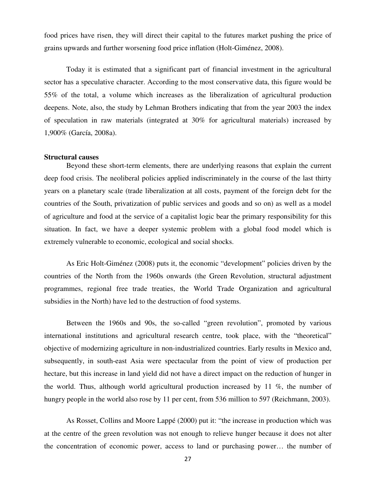food prices have risen, they will direct their capital to the futures market pushing the price of grains upwards and further worsening food price inflation (Holt-Giménez, 2008).

Today it is estimated that a significant part of financial investment in the agricultural sector has a speculative character. According to the most conservative data, this figure would be 55% of the total, a volume which increases as the liberalization of agricultural production deepens. Note, also, the study by Lehman Brothers indicating that from the year 2003 the index of speculation in raw materials (integrated at 30% for agricultural materials) increased by 1,900% (García, 2008a).

#### **Structural causes**

 Beyond these short-term elements, there are underlying reasons that explain the current deep food crisis. The neoliberal policies applied indiscriminately in the course of the last thirty years on a planetary scale (trade liberalization at all costs, payment of the foreign debt for the countries of the South, privatization of public services and goods and so on) as well as a model of agriculture and food at the service of a capitalist logic bear the primary responsibility for this situation. In fact, we have a deeper systemic problem with a global food model which is extremely vulnerable to economic, ecological and social shocks.

 As Eric Holt-Giménez (2008) puts it, the economic "development" policies driven by the countries of the North from the 1960s onwards (the Green Revolution, structural adjustment programmes, regional free trade treaties, the World Trade Organization and agricultural subsidies in the North) have led to the destruction of food systems.

Between the 1960s and 90s, the so-called "green revolution", promoted by various international institutions and agricultural research centre, took place, with the "theoretical" objective of modernizing agriculture in non-industrialized countries. Early results in Mexico and, subsequently, in south-east Asia were spectacular from the point of view of production per hectare, but this increase in land yield did not have a direct impact on the reduction of hunger in the world. Thus, although world agricultural production increased by 11 %, the number of hungry people in the world also rose by 11 per cent, from 536 million to 597 (Reichmann, 2003).

As Rosset, Collins and Moore Lappé (2000) put it: "the increase in production which was at the centre of the green revolution was not enough to relieve hunger because it does not alter the concentration of economic power, access to land or purchasing power… the number of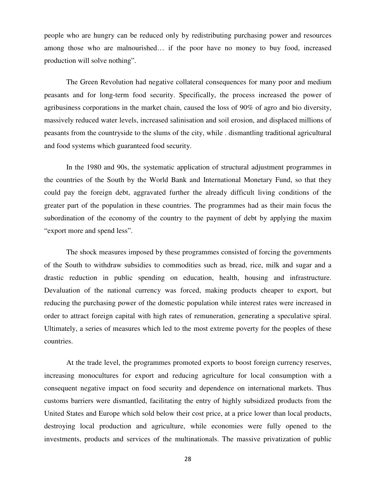people who are hungry can be reduced only by redistributing purchasing power and resources among those who are malnourished… if the poor have no money to buy food, increased production will solve nothing".

The Green Revolution had negative collateral consequences for many poor and medium peasants and for long-term food security. Specifically, the process increased the power of agribusiness corporations in the market chain, caused the loss of 90% of agro and bio diversity, massively reduced water levels, increased salinisation and soil erosion, and displaced millions of peasants from the countryside to the slums of the city, while . dismantling traditional agricultural and food systems which guaranteed food security.

In the 1980 and 90s, the systematic application of structural adjustment programmes in the countries of the South by the World Bank and International Monetary Fund, so that they could pay the foreign debt, aggravated further the already difficult living conditions of the greater part of the population in these countries. The programmes had as their main focus the subordination of the economy of the country to the payment of debt by applying the maxim "export more and spend less".

The shock measures imposed by these programmes consisted of forcing the governments of the South to withdraw subsidies to commodities such as bread, rice, milk and sugar and a drastic reduction in public spending on education, health, housing and infrastructure. Devaluation of the national currency was forced, making products cheaper to export, but reducing the purchasing power of the domestic population while interest rates were increased in order to attract foreign capital with high rates of remuneration, generating a speculative spiral. Ultimately, a series of measures which led to the most extreme poverty for the peoples of these countries.

At the trade level, the programmes promoted exports to boost foreign currency reserves, increasing monocultures for export and reducing agriculture for local consumption with a consequent negative impact on food security and dependence on international markets. Thus customs barriers were dismantled, facilitating the entry of highly subsidized products from the United States and Europe which sold below their cost price, at a price lower than local products, destroying local production and agriculture, while economies were fully opened to the investments, products and services of the multinationals. The massive privatization of public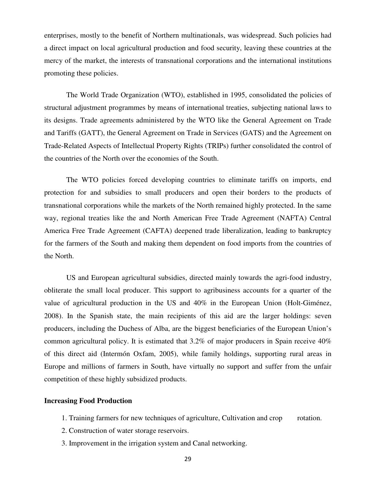enterprises, mostly to the benefit of Northern multinationals, was widespread. Such policies had a direct impact on local agricultural production and food security, leaving these countries at the mercy of the market, the interests of transnational corporations and the international institutions promoting these policies.

The World Trade Organization (WTO), established in 1995, consolidated the policies of structural adjustment programmes by means of international treaties, subjecting national laws to its designs. Trade agreements administered by the WTO like the General Agreement on Trade and Tariffs (GATT), the General Agreement on Trade in Services (GATS) and the Agreement on Trade-Related Aspects of Intellectual Property Rights (TRIPs) further consolidated the control of the countries of the North over the economies of the South.

The WTO policies forced developing countries to eliminate tariffs on imports, end protection for and subsidies to small producers and open their borders to the products of transnational corporations while the markets of the North remained highly protected. In the same way, regional treaties like the and North American Free Trade Agreement (NAFTA) Central America Free Trade Agreement (CAFTA) deepened trade liberalization, leading to bankruptcy for the farmers of the South and making them dependent on food imports from the countries of the North.

US and European agricultural subsidies, directed mainly towards the agri-food industry, obliterate the small local producer. This support to agribusiness accounts for a quarter of the value of agricultural production in the US and 40% in the European Union (Holt-Giménez, 2008). In the Spanish state, the main recipients of this aid are the larger holdings: seven producers, including the Duchess of Alba, are the biggest beneficiaries of the European Union's common agricultural policy. It is estimated that 3.2% of major producers in Spain receive 40% of this direct aid (Intermón Oxfam, 2005), while family holdings, supporting rural areas in Europe and millions of farmers in South, have virtually no support and suffer from the unfair competition of these highly subsidized products.

#### **Increasing Food Production**

- 1. Training farmers for new techniques of agriculture, Cultivation and crop rotation.
- 2. Construction of water storage reservoirs.
- 3. Improvement in the irrigation system and Canal networking.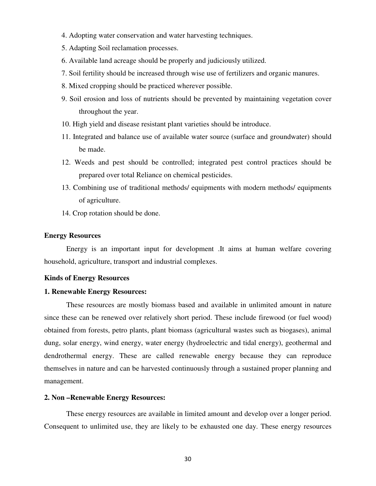- 4. Adopting water conservation and water harvesting techniques.
- 5. Adapting Soil reclamation processes.
- 6. Available land acreage should be properly and judiciously utilized.
- 7. Soil fertility should be increased through wise use of fertilizers and organic manures.
- 8. Mixed cropping should be practiced wherever possible.
- 9. Soil erosion and loss of nutrients should be prevented by maintaining vegetation cover throughout the year.
- 10. High yield and disease resistant plant varieties should be introduce.
- 11. Integrated and balance use of available water source (surface and groundwater) should be made.
- 12. Weeds and pest should be controlled; integrated pest control practices should be prepared over total Reliance on chemical pesticides.
- 13. Combining use of traditional methods/ equipments with modern methods/ equipments of agriculture.
- 14. Crop rotation should be done.

#### **Energy Resources**

 Energy is an important input for development .It aims at human welfare covering household, agriculture, transport and industrial complexes.

#### **Kinds of Energy Resources**

#### **1. Renewable Energy Resources:**

 These resources are mostly biomass based and available in unlimited amount in nature since these can be renewed over relatively short period. These include firewood (or fuel wood) obtained from forests, petro plants, plant biomass (agricultural wastes such as biogases), animal dung, solar energy, wind energy, water energy (hydroelectric and tidal energy), geothermal and dendrothermal energy. These are called renewable energy because they can reproduce themselves in nature and can be harvested continuously through a sustained proper planning and management.

#### **2. Non –Renewable Energy Resources:**

 These energy resources are available in limited amount and develop over a longer period. Consequent to unlimited use, they are likely to be exhausted one day. These energy resources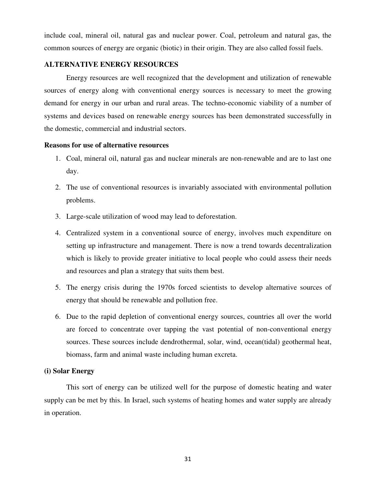include coal, mineral oil, natural gas and nuclear power. Coal, petroleum and natural gas, the common sources of energy are organic (biotic) in their origin. They are also called fossil fuels.

### **ALTERNATIVE ENERGY RESOURCES**

 Energy resources are well recognized that the development and utilization of renewable sources of energy along with conventional energy sources is necessary to meet the growing demand for energy in our urban and rural areas. The techno-economic viability of a number of systems and devices based on renewable energy sources has been demonstrated successfully in the domestic, commercial and industrial sectors.

#### **Reasons for use of alternative resources**

- 1. Coal, mineral oil, natural gas and nuclear minerals are non-renewable and are to last one day.
- 2. The use of conventional resources is invariably associated with environmental pollution problems.
- 3. Large-scale utilization of wood may lead to deforestation.
- 4. Centralized system in a conventional source of energy, involves much expenditure on setting up infrastructure and management. There is now a trend towards decentralization which is likely to provide greater initiative to local people who could assess their needs and resources and plan a strategy that suits them best.
- 5. The energy crisis during the 1970s forced scientists to develop alternative sources of energy that should be renewable and pollution free.
- 6. Due to the rapid depletion of conventional energy sources, countries all over the world are forced to concentrate over tapping the vast potential of non-conventional energy sources. These sources include dendrothermal, solar, wind, ocean(tidal) geothermal heat, biomass, farm and animal waste including human excreta.

### **(i) Solar Energy**

 This sort of energy can be utilized well for the purpose of domestic heating and water supply can be met by this. In Israel, such systems of heating homes and water supply are already in operation.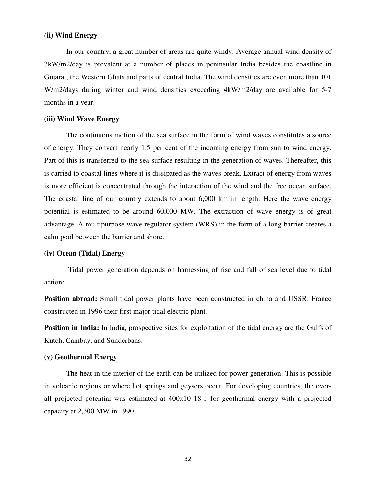#### (**ii) Wind Energy**

 In our country, a great number of areas are quite windy. Average annual wind density of 3kW/m2/day is prevalent at a number of places in peninsular India besides the coastline in Gujarat, the Western Ghats and parts of central India. The wind densities are even more than 101 W/m2/days during winter and wind densities exceeding 4kW/m2/day are available for 5-7 months in a year.

#### **(iii) Wind Wave Energy**

 The continuous motion of the sea surface in the form of wind waves constitutes a source of energy. They convert nearly 1.5 per cent of the incoming energy from sun to wind energy. Part of this is transferred to the sea surface resulting in the generation of waves. Thereafter, this is carried to coastal lines where it is dissipated as the waves break. Extract of energy from waves is more efficient is concentrated through the interaction of the wind and the free ocean surface. The coastal line of our country extends to about 6,000 km in length. Here the wave energy potential is estimated to be around 60,000 MW. The extraction of wave energy is of great advantage. A multipurpose wave regulator system (WRS) in the form of a long barrier creates a calm pool between the barrier and shore.

### **(iv) Ocean (Tidal) Energy**

Tidal power generation depends on harnessing of rise and fall of sea level due to tidal action:

**Position abroad:** Small tidal power plants have been constructed in china and USSR. France constructed in 1996 their first major tidal electric plant.

**Position in India:** In India, prospective sites for exploitation of the tidal energy are the Gulfs of Kutch, Cambay, and Sunderbans.

#### **(v) Geothermal Energy**

 The heat in the interior of the earth can be utilized for power generation. This is possible in volcanic regions or where hot springs and geysers occur. For developing countries, the overall projected potential was estimated at 400x10 18 J for geothermal energy with a projected capacity at 2,300 MW in 1990.

32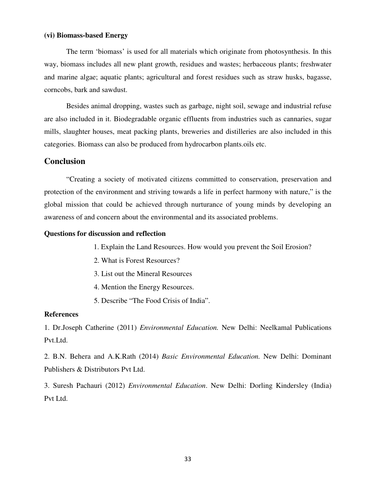#### **(vi) Biomass-based Energy**

 The term 'biomass' is used for all materials which originate from photosynthesis. In this way, biomass includes all new plant growth, residues and wastes; herbaceous plants; freshwater and marine algae; aquatic plants; agricultural and forest residues such as straw husks, bagasse, corncobs, bark and sawdust.

 Besides animal dropping, wastes such as garbage, night soil, sewage and industrial refuse are also included in it. Biodegradable organic effluents from industries such as cannaries, sugar mills, slaughter houses, meat packing plants, breweries and distilleries are also included in this categories. Biomass can also be produced from hydrocarbon plants.oils etc.

## **Conclusion**

"Creating a society of motivated citizens committed to conservation, preservation and protection of the environment and striving towards a life in perfect harmony with nature," is the global mission that could be achieved through nurturance of young minds by developing an awareness of and concern about the environmental and its associated problems.

#### **Questions for discussion and reflection**

- 1. Explain the Land Resources. How would you prevent the Soil Erosion?
- 2. What is Forest Resources?
- 3. List out the Mineral Resources
- 4. Mention the Energy Resources.
- 5. Describe "The Food Crisis of India".

#### **References**

1. Dr.Joseph Catherine (2011) *Environmental Education.* New Delhi: Neelkamal Publications Pvt.Ltd.

2. B.N. Behera and A.K.Rath (2014) *Basic Environmental Education.* New Delhi: Dominant Publishers & Distributors Pvt Ltd.

3. Suresh Pachauri (2012) *Environmental Education*. New Delhi: Dorling Kindersley (India) Pvt Ltd.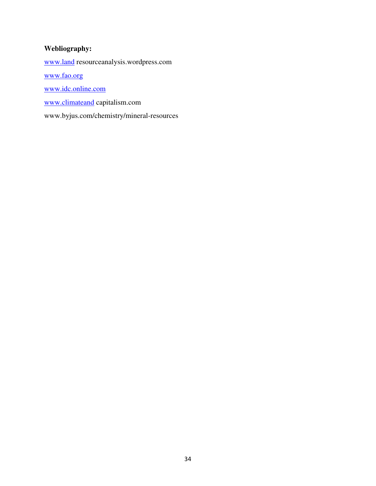## **Webliography:**

www.land resourceanalysis.wordpress.com

www.fao.org

www.idc.online.com

www.climateand capitalism.com

www.byjus.com/chemistry/mineral-resources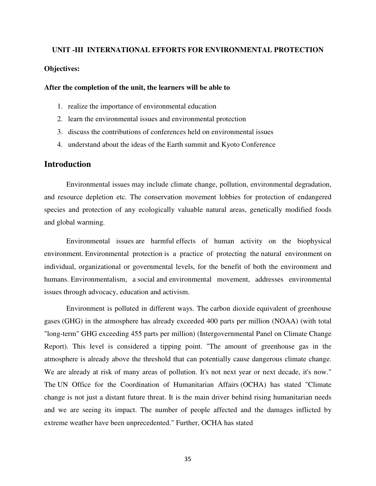# **UNIT -III INTERNATIONAL EFFORTS FOR ENVIRONMENTAL PROTECTION Objectives:**

#### **After the completion of the unit, the learners will be able to**

- 1. realize the importance of environmental education
- 2. learn the environmental issues and environmental protection
- 3. discuss the contributions of conferences held on environmental issues
- 4. understand about the ideas of the Earth summit and Kyoto Conference

#### **Introduction**

Environmental issues may include climate change, pollution, environmental degradation, and resource depletion etc. The conservation movement lobbies for protection of endangered species and protection of any ecologically valuable natural areas, genetically modified foods and global warming.

Environmental issues are harmful effects of human activity on the biophysical environment. Environmental protection is a practice of protecting the natural environment on individual, organizational or governmental levels, for the benefit of both the environment and humans. Environmentalism, a social and environmental movement, addresses environmental issues through advocacy, education and activism.

Environment is polluted in different ways. The carbon dioxide equivalent of greenhouse gases (GHG) in the atmosphere has already exceeded 400 parts per million (NOAA) (with total "long-term" GHG exceeding 455 parts per million) (Intergovernmental Panel on Climate Change Report). This level is considered a tipping point. "The amount of greenhouse gas in the atmosphere is already above the threshold that can potentially cause dangerous climate change. We are already at risk of many areas of pollution. It's not next year or next decade, it's now." The UN Office for the Coordination of Humanitarian Affairs (OCHA) has stated "Climate change is not just a distant future threat. It is the main driver behind rising humanitarian needs and we are seeing its impact. The number of people affected and the damages inflicted by extreme weather have been unprecedented." Further, OCHA has stated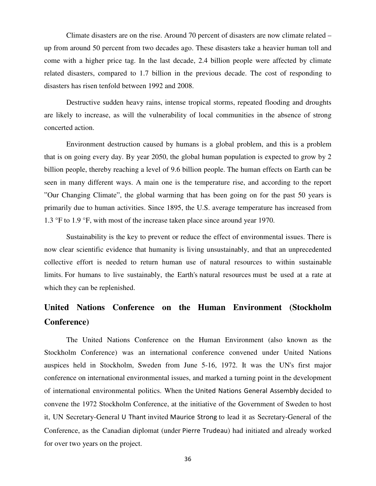Climate disasters are on the rise. Around 70 percent of disasters are now climate related – up from around 50 percent from two decades ago. These disasters take a heavier human toll and come with a higher price tag. In the last decade, 2.4 billion people were affected by climate related disasters, compared to 1.7 billion in the previous decade. The cost of responding to disasters has risen tenfold between 1992 and 2008.

Destructive sudden heavy rains, intense tropical storms, repeated flooding and droughts are likely to increase, as will the vulnerability of local communities in the absence of strong concerted action.

Environment destruction caused by humans is a global problem, and this is a problem that is on going every day. By year 2050, the global human population is expected to grow by 2 billion people, thereby reaching a level of 9.6 billion people. The human effects on Earth can be seen in many different ways. A main one is the temperature rise, and according to the report "Our Changing Climate", the global warming that has been going on for the past 50 years is primarily due to human activities. Since 1895, the U.S. average temperature has increased from 1.3 °F to 1.9 °F, with most of the increase taken place since around year 1970.

Sustainability is the key to prevent or reduce the effect of environmental issues. There is now clear scientific evidence that humanity is living unsustainably, and that an unprecedented collective effort is needed to return human use of natural resources to within sustainable limits. For humans to live sustainably, the Earth's natural resources must be used at a rate at which they can be replenished.

# **United Nations Conference on the Human Environment (Stockholm Conference)**

The United Nations Conference on the Human Environment (also known as the Stockholm Conference) was an international conference convened under United Nations auspices held in Stockholm, Sweden from June 5-16, 1972. It was the UN's first major conference on international environmental issues, and marked a turning point in the development of international environmental politics. When the United Nations General Assembly decided to convene the 1972 Stockholm Conference, at the initiative of the Government of Sweden to host it, UN Secretary-General U Thant invited Maurice Strong to lead it as Secretary-General of the Conference, as the Canadian diplomat (under Pierre Trudeau) had initiated and already worked for over two years on the project.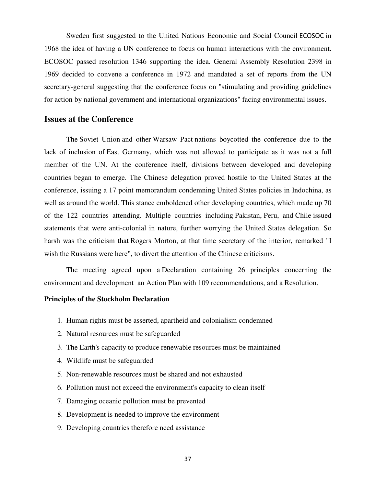Sweden first suggested to the United Nations Economic and Social Council ECOSOC in 1968 the idea of having a UN conference to focus on human interactions with the environment. ECOSOC passed resolution 1346 supporting the idea. General Assembly Resolution 2398 in 1969 decided to convene a conference in 1972 and mandated a set of reports from the UN secretary-general suggesting that the conference focus on "stimulating and providing guidelines for action by national government and international organizations" facing environmental issues.

# **Issues at the Conference**

The Soviet Union and other Warsaw Pact nations boycotted the conference due to the lack of inclusion of East Germany, which was not allowed to participate as it was not a full member of the UN. At the conference itself, divisions between developed and developing countries began to emerge. The Chinese delegation proved hostile to the United States at the conference, issuing a 17 point memorandum condemning United States policies in Indochina, as well as around the world. This stance emboldened other developing countries, which made up 70 of the 122 countries attending. Multiple countries including Pakistan, Peru, and Chile issued statements that were anti-colonial in nature, further worrying the United States delegation. So harsh was the criticism that Rogers Morton, at that time secretary of the interior, remarked "I wish the Russians were here", to divert the attention of the Chinese criticisms.

The meeting agreed upon a Declaration containing 26 principles concerning the environment and development an Action Plan with 109 recommendations, and a Resolution.

#### **Principles of the Stockholm Declaration**

- 1. Human rights must be asserted, apartheid and colonialism condemned
- 2. Natural resources must be safeguarded
- 3. The Earth's capacity to produce renewable resources must be maintained
- 4. Wildlife must be safeguarded
- 5. Non-renewable resources must be shared and not exhausted
- 6. Pollution must not exceed the environment's capacity to clean itself
- 7. Damaging oceanic pollution must be prevented
- 8. Development is needed to improve the environment
- 9. Developing countries therefore need assistance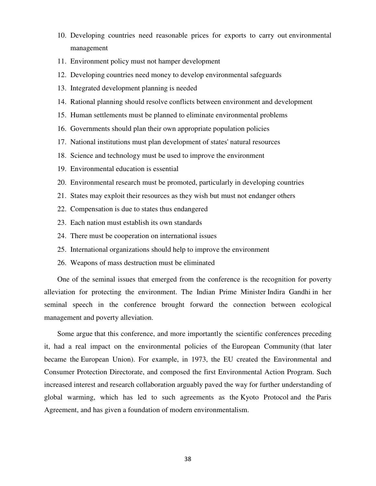- 10. Developing countries need reasonable prices for exports to carry out environmental management
- 11. Environment policy must not hamper development
- 12. Developing countries need money to develop environmental safeguards
- 13. Integrated development planning is needed
- 14. Rational planning should resolve conflicts between environment and development
- 15. Human settlements must be planned to eliminate environmental problems
- 16. Governments should plan their own appropriate population policies
- 17. National institutions must plan development of states' natural resources
- 18. Science and technology must be used to improve the environment
- 19. Environmental education is essential
- 20. Environmental research must be promoted, particularly in developing countries
- 21. States may exploit their resources as they wish but must not endanger others
- 22. Compensation is due to states thus endangered
- 23. Each nation must establish its own standards
- 24. There must be cooperation on international issues
- 25. International organizations should help to improve the environment
- 26. Weapons of mass destruction must be eliminated

One of the seminal issues that emerged from the conference is the recognition for poverty alleviation for protecting the environment. The Indian Prime Minister Indira Gandhi in her seminal speech in the conference brought forward the connection between ecological management and poverty alleviation.

Some argue that this conference, and more importantly the scientific conferences preceding it, had a real impact on the environmental policies of the European Community (that later became the European Union). For example, in 1973, the EU created the Environmental and Consumer Protection Directorate, and composed the first Environmental Action Program. Such increased interest and research collaboration arguably paved the way for further understanding of global warming, which has led to such agreements as the Kyoto Protocol and the Paris Agreement, and has given a foundation of modern environmentalism.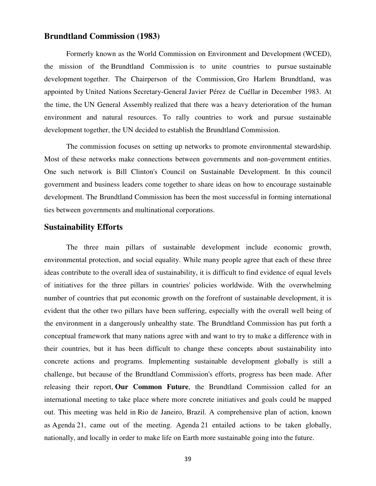# **Brundtland Commission (1983)**

Formerly known as the World Commission on Environment and Development (WCED), the mission of the Brundtland Commission is to unite countries to pursue sustainable development together. The Chairperson of the Commission, Gro Harlem Brundtland, was appointed by United Nations Secretary-General Javier Pérez de Cuéllar in December 1983. At the time, the UN General Assembly realized that there was a heavy deterioration of the human environment and natural resources. To rally countries to work and pursue sustainable development together, the UN decided to establish the Brundtland Commission.

The commission focuses on setting up networks to promote environmental stewardship. Most of these networks make connections between governments and non-government entities. One such network is Bill Clinton's Council on Sustainable Development. In this council government and business leaders come together to share ideas on how to encourage sustainable development. The Brundtland Commission has been the most successful in forming international ties between governments and multinational corporations.

## **Sustainability Efforts**

The three main pillars of sustainable development include economic growth, environmental protection, and social equality. While many people agree that each of these three ideas contribute to the overall idea of sustainability, it is difficult to find evidence of equal levels of initiatives for the three pillars in countries' policies worldwide. With the overwhelming number of countries that put economic growth on the forefront of sustainable development, it is evident that the other two pillars have been suffering, especially with the overall well being of the environment in a dangerously unhealthy state. The Brundtland Commission has put forth a conceptual framework that many nations agree with and want to try to make a difference with in their countries, but it has been difficult to change these concepts about sustainability into concrete actions and programs. Implementing sustainable development globally is still a challenge, but because of the Brundtland Commission's efforts, progress has been made. After releasing their report, **Our Common Future**, the Brundtland Commission called for an international meeting to take place where more concrete initiatives and goals could be mapped out. This meeting was held in Rio de Janeiro, Brazil. A comprehensive plan of action, known as Agenda 21, came out of the meeting. Agenda 21 entailed actions to be taken globally, nationally, and locally in order to make life on Earth more sustainable going into the future.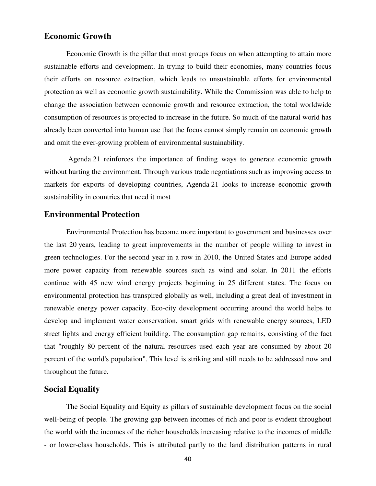### **Economic Growth**

Economic Growth is the pillar that most groups focus on when attempting to attain more sustainable efforts and development. In trying to build their economies, many countries focus their efforts on resource extraction, which leads to unsustainable efforts for environmental protection as well as economic growth sustainability. While the Commission was able to help to change the association between economic growth and resource extraction, the total worldwide consumption of resources is projected to increase in the future. So much of the natural world has already been converted into human use that the focus cannot simply remain on economic growth and omit the ever-growing problem of environmental sustainability.

 Agenda 21 reinforces the importance of finding ways to generate economic growth without hurting the environment. Through various trade negotiations such as improving access to markets for exports of developing countries, Agenda 21 looks to increase economic growth sustainability in countries that need it most

## **Environmental Protection**

Environmental Protection has become more important to government and businesses over the last 20 years, leading to great improvements in the number of people willing to invest in green technologies. For the second year in a row in 2010, the United States and Europe added more power capacity from renewable sources such as wind and solar. In 2011 the efforts continue with 45 new wind energy projects beginning in 25 different states. The focus on environmental protection has transpired globally as well, including a great deal of investment in renewable energy power capacity. Eco-city development occurring around the world helps to develop and implement water conservation, smart grids with renewable energy sources, LED street lights and energy efficient building. The consumption gap remains, consisting of the fact that "roughly 80 percent of the natural resources used each year are consumed by about 20 percent of the world's population". This level is striking and still needs to be addressed now and throughout the future.

# **Social Equality**

The Social Equality and Equity as pillars of sustainable development focus on the social well-being of people. The growing gap between incomes of rich and poor is evident throughout the world with the incomes of the richer households increasing relative to the incomes of middle - or lower-class households. This is attributed partly to the land distribution patterns in rural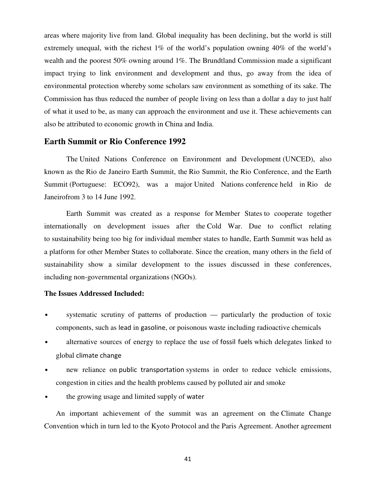areas where majority live from land. Global inequality has been declining, but the world is still extremely unequal, with the richest  $1\%$  of the world's population owning  $40\%$  of the world's wealth and the poorest 50% owning around 1%. The Brundtland Commission made a significant impact trying to link environment and development and thus, go away from the idea of environmental protection whereby some scholars saw environment as something of its sake. The Commission has thus reduced the number of people living on less than a dollar a day to just half of what it used to be, as many can approach the environment and use it. These achievements can also be attributed to economic growth in China and India.

### **Earth Summit or Rio Conference 1992**

The United Nations Conference on Environment and Development (UNCED), also known as the Rio de Janeiro Earth Summit, the Rio Summit, the Rio Conference, and the Earth Summit (Portuguese: ECO92), was a major United Nations conference held in Rio de Janeirofrom 3 to 14 June 1992.

Earth Summit was created as a response for Member States to cooperate together internationally on development issues after the Cold War. Due to conflict relating to sustainability being too big for individual member states to handle, Earth Summit was held as a platform for other Member States to collaborate. Since the creation, many others in the field of sustainability show a similar development to the issues discussed in these conferences, including non-governmental organizations (NGOs).

### **The Issues Addressed Included:**

- systematic scrutiny of patterns of production particularly the production of toxic components, such as lead in gasoline, or poisonous waste including radioactive chemicals
- alternative sources of energy to replace the use of fossil fuels which delegates linked to global climate change
- new reliance on public transportation systems in order to reduce vehicle emissions, congestion in cities and the health problems caused by polluted air and smoke
- the growing usage and limited supply of water

An important achievement of the summit was an agreement on the Climate Change Convention which in turn led to the Kyoto Protocol and the Paris Agreement. Another agreement

41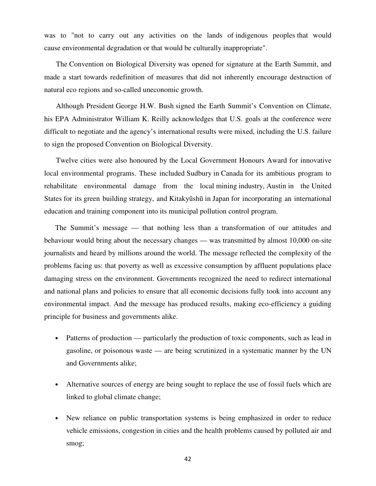was to "not to carry out any activities on the lands of indigenous peoples that would cause environmental degradation or that would be culturally inappropriate".

The Convention on Biological Diversity was opened for signature at the Earth Summit, and made a start towards redefinition of measures that did not inherently encourage destruction of natural eco regions and so-called uneconomic growth.

Although President George H.W. Bush signed the Earth Summit's Convention on Climate, his EPA Administrator William K. Reilly acknowledges that U.S. goals at the conference were difficult to negotiate and the agency's international results were mixed, including the U.S. failure to sign the proposed Convention on Biological Diversity.

Twelve cities were also honoured by the Local Government Honours Award for innovative local environmental programs. These included Sudbury in Canada for its ambitious program to rehabilitate environmental damage from the local mining industry, Austin in the United States for its green building strategy, and Kitakyūshū in Japan for incorporating an international education and training component into its municipal pollution control program.

The Summit's message — that nothing less than a transformation of our attitudes and behaviour would bring about the necessary changes — was transmitted by almost 10,000 on-site journalists and heard by millions around the world. The message reflected the complexity of the problems facing us: that poverty as well as excessive consumption by affluent populations place damaging stress on the environment. Governments recognized the need to redirect international and national plans and policies to ensure that all economic decisions fully took into account any environmental impact. And the message has produced results, making eco-efficiency a guiding principle for business and governments alike.

- Patterns of production particularly the production of toxic components, such as lead in gasoline, or poisonous waste — are being scrutinized in a systematic manner by the UN and Governments alike;
- Alternative sources of energy are being sought to replace the use of fossil fuels which are linked to global climate change;
- New reliance on public transportation systems is being emphasized in order to reduce vehicle emissions, congestion in cities and the health problems caused by polluted air and smog;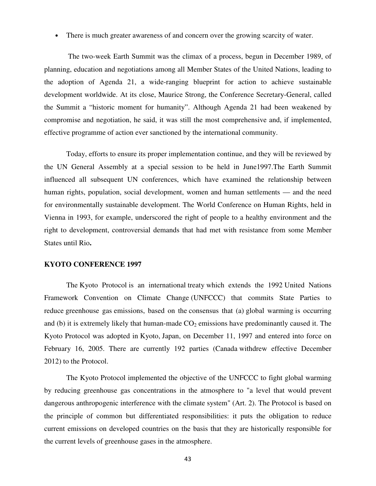• There is much greater awareness of and concern over the growing scarcity of water.

 The two-week Earth Summit was the climax of a process, begun in December 1989, of planning, education and negotiations among all Member States of the United Nations, leading to the adoption of Agenda 21, a wide-ranging blueprint for action to achieve sustainable development worldwide. At its close, Maurice Strong, the Conference Secretary-General, called the Summit a "historic moment for humanity". Although Agenda 21 had been weakened by compromise and negotiation, he said, it was still the most comprehensive and, if implemented, effective programme of action ever sanctioned by the international community.

Today, efforts to ensure its proper implementation continue, and they will be reviewed by the UN General Assembly at a special session to be held in June1997.The Earth Summit influenced all subsequent UN conferences, which have examined the relationship between human rights, population, social development, women and human settlements — and the need for environmentally sustainable development. The World Conference on Human Rights, held in Vienna in 1993, for example, underscored the right of people to a healthy environment and the right to development, controversial demands that had met with resistance from some Member States until Rio**.**

#### **KYOTO CONFERENCE 1997**

The Kyoto Protocol is an international treaty which extends the 1992 United Nations Framework Convention on Climate Change (UNFCCC) that commits State Parties to reduce greenhouse gas emissions, based on the consensus that (a) global warming is occurring and (b) it is extremely likely that human-made  $CO<sub>2</sub>$  emissions have predominantly caused it. The Kyoto Protocol was adopted in Kyoto, Japan, on December 11, 1997 and entered into force on February 16, 2005. There are currently 192 parties (Canada withdrew effective December 2012) to the Protocol.

The Kyoto Protocol implemented the objective of the UNFCCC to fight global warming by reducing greenhouse gas concentrations in the atmosphere to "a level that would prevent dangerous anthropogenic interference with the climate system" (Art. 2). The Protocol is based on the principle of common but differentiated responsibilities: it puts the obligation to reduce current emissions on developed countries on the basis that they are historically responsible for the current levels of greenhouse gases in the atmosphere.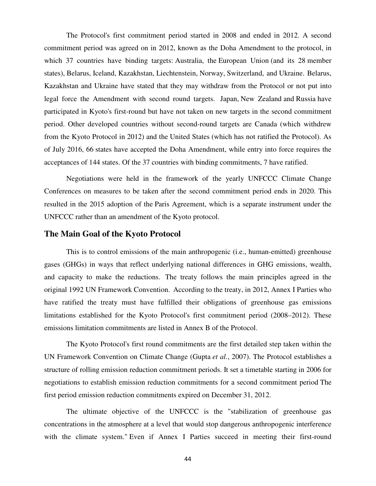The Protocol's first commitment period started in 2008 and ended in 2012. A second commitment period was agreed on in 2012, known as the Doha Amendment to the protocol, in which 37 countries have binding targets: Australia, the European Union (and its 28 member states), Belarus, Iceland, Kazakhstan, Liechtenstein, Norway, Switzerland, and Ukraine. Belarus, Kazakhstan and Ukraine have stated that they may withdraw from the Protocol or not put into legal force the Amendment with second round targets. Japan, New Zealand and Russia have participated in Kyoto's first-round but have not taken on new targets in the second commitment period. Other developed countries without second-round targets are Canada (which withdrew from the Kyoto Protocol in 2012) and the United States (which has not ratified the Protocol). As of July 2016, 66 states have accepted the Doha Amendment, while entry into force requires the acceptances of 144 states. Of the 37 countries with binding commitments, 7 have ratified.

Negotiations were held in the framework of the yearly UNFCCC Climate Change Conferences on measures to be taken after the second commitment period ends in 2020. This resulted in the 2015 adoption of the Paris Agreement, which is a separate instrument under the UNFCCC rather than an amendment of the Kyoto protocol.

# **The Main Goal of the Kyoto Protocol**

This is to control emissions of the main anthropogenic (i.e., human-emitted) greenhouse gases (GHGs) in ways that reflect underlying national differences in GHG emissions, wealth, and capacity to make the reductions. The treaty follows the main principles agreed in the original 1992 UN Framework Convention. According to the treaty, in 2012, Annex I Parties who have ratified the treaty must have fulfilled their obligations of greenhouse gas emissions limitations established for the Kyoto Protocol's first commitment period (2008–2012). These emissions limitation commitments are listed in Annex B of the Protocol.

The Kyoto Protocol's first round commitments are the first detailed step taken within the UN Framework Convention on Climate Change (Gupta *et al.*, 2007). The Protocol establishes a structure of rolling emission reduction commitment periods. It set a timetable starting in 2006 for negotiations to establish emission reduction commitments for a second commitment period The first period emission reduction commitments expired on December 31, 2012.

The ultimate objective of the UNFCCC is the "stabilization of greenhouse gas concentrations in the atmosphere at a level that would stop dangerous anthropogenic interference with the climate system." Even if Annex I Parties succeed in meeting their first-round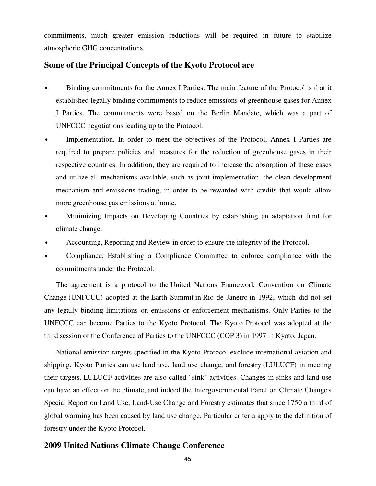commitments, much greater emission reductions will be required in future to stabilize atmospheric GHG concentrations.

### **Some of the Principal Concepts of the Kyoto Protocol are**

- Binding commitments for the Annex I Parties. The main feature of the Protocol is that it established legally binding commitments to reduce emissions of greenhouse gases for Annex I Parties. The commitments were based on the Berlin Mandate, which was a part of UNFCCC negotiations leading up to the Protocol.
- Implementation. In order to meet the objectives of the Protocol, Annex I Parties are required to prepare policies and measures for the reduction of greenhouse gases in their respective countries. In addition, they are required to increase the absorption of these gases and utilize all mechanisms available, such as joint implementation, the clean development mechanism and emissions trading, in order to be rewarded with credits that would allow more greenhouse gas emissions at home.
- Minimizing Impacts on Developing Countries by establishing an adaptation fund for climate change.
- Accounting, Reporting and Review in order to ensure the integrity of the Protocol.
- Compliance. Establishing a Compliance Committee to enforce compliance with the commitments under the Protocol.

The agreement is a protocol to the United Nations Framework Convention on Climate Change (UNFCCC) adopted at the Earth Summit in Rio de Janeiro in 1992, which did not set any legally binding limitations on emissions or enforcement mechanisms. Only Parties to the UNFCCC can become Parties to the Kyoto Protocol. The Kyoto Protocol was adopted at the third session of the Conference of Parties to the UNFCCC (COP 3) in 1997 in Kyoto, Japan.

National emission targets specified in the Kyoto Protocol exclude international aviation and shipping. Kyoto Parties can use land use, land use change, and forestry (LULUCF) in meeting their targets. LULUCF activities are also called "sink" activities. Changes in sinks and land use can have an effect on the climate, and indeed the Intergovernmental Panel on Climate Change's Special Report on Land Use, Land-Use Change and Forestry estimates that since 1750 a third of global warming has been caused by land use change. Particular criteria apply to the definition of forestry under the Kyoto Protocol.

# **2009 United Nations Climate Change Conference**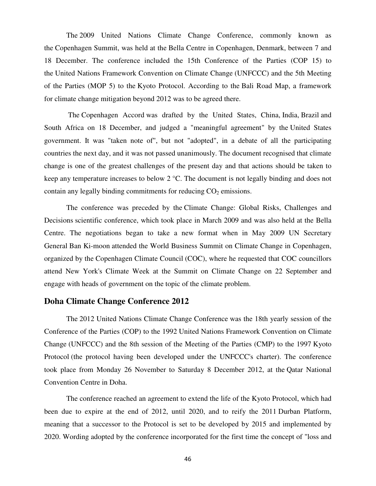The 2009 United Nations Climate Change Conference, commonly known as the Copenhagen Summit, was held at the Bella Centre in Copenhagen, Denmark, between 7 and 18 December. The conference included the 15th Conference of the Parties (COP 15) to the United Nations Framework Convention on Climate Change (UNFCCC) and the 5th Meeting of the Parties (MOP 5) to the Kyoto Protocol. According to the Bali Road Map, a framework for climate change mitigation beyond 2012 was to be agreed there.

 The Copenhagen Accord was drafted by the United States, China, India, Brazil and South Africa on 18 December, and judged a "meaningful agreement" by the United States government. It was "taken note of", but not "adopted", in a debate of all the participating countries the next day, and it was not passed unanimously. The document recognised that climate change is one of the greatest challenges of the present day and that actions should be taken to keep any temperature increases to below 2 °C. The document is not legally binding and does not contain any legally binding commitments for reducing  $CO<sub>2</sub>$  emissions.

The conference was preceded by the Climate Change: Global Risks, Challenges and Decisions scientific conference, which took place in March 2009 and was also held at the Bella Centre. The negotiations began to take a new format when in May 2009 UN Secretary General Ban Ki-moon attended the World Business Summit on Climate Change in Copenhagen, organized by the Copenhagen Climate Council (COC), where he requested that COC councillors attend New York's Climate Week at the Summit on Climate Change on 22 September and engage with heads of government on the topic of the climate problem.

### **Doha Climate Change Conference 2012**

The 2012 United Nations Climate Change Conference was the 18th yearly session of the Conference of the Parties (COP) to the 1992 United Nations Framework Convention on Climate Change (UNFCCC) and the 8th session of the Meeting of the Parties (CMP) to the 1997 Kyoto Protocol (the protocol having been developed under the UNFCCC's charter). The conference took place from Monday 26 November to Saturday 8 December 2012, at the Qatar National Convention Centre in Doha.

The conference reached an agreement to extend the life of the Kyoto Protocol, which had been due to expire at the end of 2012, until 2020, and to reify the 2011 Durban Platform, meaning that a successor to the Protocol is set to be developed by 2015 and implemented by 2020. Wording adopted by the conference incorporated for the first time the concept of "loss and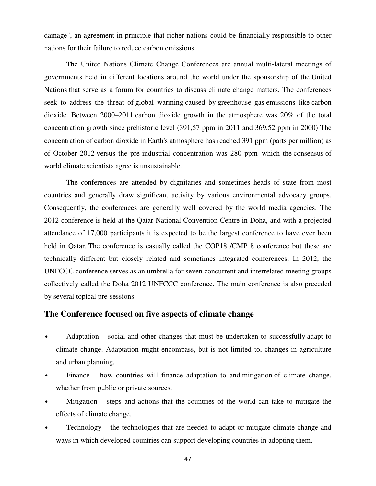damage", an agreement in principle that richer nations could be financially responsible to other nations for their failure to reduce carbon emissions.

The United Nations Climate Change Conferences are annual multi-lateral meetings of governments held in different locations around the world under the sponsorship of the United Nations that serve as a forum for countries to discuss climate change matters. The conferences seek to address the threat of global warming caused by greenhouse gas emissions like carbon dioxide. Between 2000–2011 carbon dioxide growth in the atmosphere was 20% of the total concentration growth since prehistoric level (391,57 ppm in 2011 and 369,52 ppm in 2000) The concentration of carbon dioxide in Earth's atmosphere has reached 391 ppm (parts per million) as of October 2012 versus the pre-industrial concentration was 280 ppm which the consensus of world climate scientists agree is unsustainable.

The conferences are attended by dignitaries and sometimes heads of state from most countries and generally draw significant activity by various environmental advocacy groups. Consequently, the conferences are generally well covered by the world media agencies. The 2012 conference is held at the Qatar National Convention Centre in Doha, and with a projected attendance of 17,000 participants it is expected to be the largest conference to have ever been held in Qatar. The conference is casually called the COP18 / CMP 8 conference but these are technically different but closely related and sometimes integrated conferences. In 2012, the UNFCCC conference serves as an umbrella for seven concurrent and interrelated meeting groups collectively called the Doha 2012 UNFCCC conference. The main conference is also preceded by several topical pre-sessions.

### **The Conference focused on five aspects of climate change**

- Adaptation social and other changes that must be undertaken to successfully adapt to climate change. Adaptation might encompass, but is not limited to, changes in agriculture and urban planning.
- Finance how countries will finance adaptation to and mitigation of climate change, whether from public or private sources.
- Mitigation steps and actions that the countries of the world can take to mitigate the effects of climate change.
- Technology the technologies that are needed to adapt or mitigate climate change and ways in which developed countries can support developing countries in adopting them.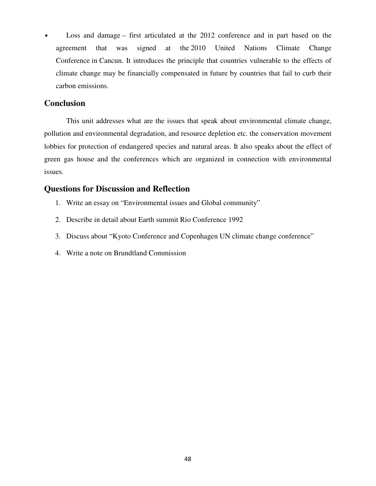• Loss and damage – first articulated at the 2012 conference and in part based on the agreement that was signed at the 2010 United Nations Climate Change Conference in Cancun. It introduces the principle that countries vulnerable to the effects of climate change may be financially compensated in future by countries that fail to curb their carbon emissions.

## **Conclusion**

This unit addresses what are the issues that speak about environmental climate change, pollution and environmental degradation, and resource depletion etc. the conservation movement lobbies for protection of endangered species and natural areas. It also speaks about the effect of green gas house and the conferences which are organized in connection with environmental issues.

# **Questions for Discussion and Reflection**

- 1. Write an essay on "Environmental issues and Global community"
- 2. Describe in detail about Earth summit Rio Conference 1992
- 3. Discuss about "Kyoto Conference and Copenhagen UN climate change conference"
- 4. Write a note on Brundtland Commission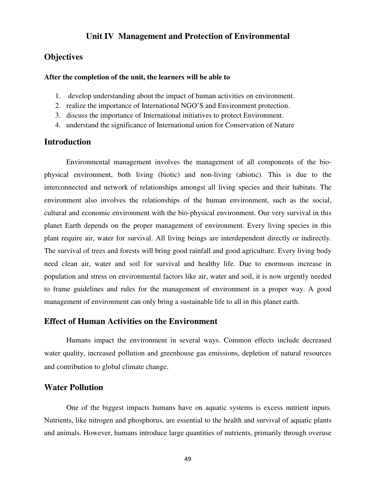# **Unit IV Management and Protection of Environmental**

## **Objectives**

#### **After the completion of the unit, the learners will be able to**

- 1. develop understanding about the impact of human activities on environment.
- 2. realize the importance of International NGO'S and Environment protection.
- 3. discuss the importance of International initiatives to protect Environment.
- 4. understand the significance of International union for Conservation of Nature

# **Introduction**

Environmental management involves the management of all components of the biophysical environment, both living (biotic) and non-living (abiotic). This is due to the interconnected and network of relationships amongst all living species and their habitats. The environment also involves the relationships of the human environment, such as the social, cultural and economic environment with the bio-physical environment. Our very survival in this planet Earth depends on the proper management of environment. Every living species in this plant require air, water for survival. All living beings are interdependent directly or indirectly. The survival of trees and forests will bring good rainfall and good agriculture. Every living body need clean air, water and soil for survival and healthy life. Due to enormous increase in population and stress on environmental factors like air, water and soil, it is now urgently needed to frame guidelines and rules for the management of environment in a proper way. A good management of environment can only bring a sustainable life to all in this planet earth.

# **Effect of Human Activities on the Environment**

Humans impact the environment in several ways. Common effects include decreased water quality, increased pollution and greenhouse gas emissions, depletion of natural resources and contribution to global climate change.

### **Water Pollution**

One of the biggest impacts humans have on aquatic systems is excess nutrient inputs. Nutrients, like nitrogen and phosphorus, are essential to the health and survival of aquatic plants and animals. However, humans introduce large quantities of nutrients, primarily through overuse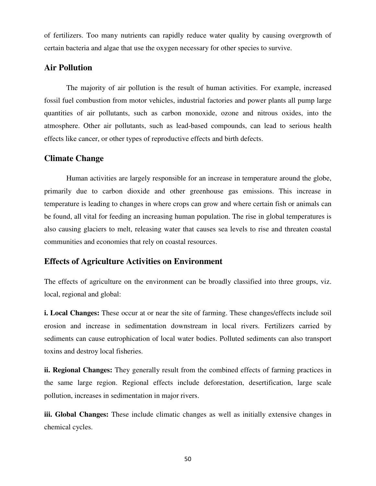of fertilizers. Too many nutrients can rapidly reduce water quality by causing overgrowth of certain bacteria and algae that use the oxygen necessary for other species to survive.

# **Air Pollution**

The majority of air pollution is the result of human activities. For example, increased fossil fuel combustion from motor vehicles, industrial factories and power plants all pump large quantities of air pollutants, such as carbon monoxide, ozone and nitrous oxides, into the atmosphere. Other air pollutants, such as lead-based compounds, can lead to serious health effects like cancer, or other types of reproductive effects and birth defects.

# **Climate Change**

Human activities are largely responsible for an increase in temperature around the globe, primarily due to carbon dioxide and other greenhouse gas emissions. This increase in temperature is leading to changes in where crops can grow and where certain fish or animals can be found, all vital for feeding an increasing human population. The rise in global temperatures is also causing glaciers to melt, releasing water that causes sea levels to rise and threaten coastal communities and economies that rely on coastal resources.

# **Effects of Agriculture Activities on Environment**

The effects of agriculture on the environment can be broadly classified into three groups, viz. local, regional and global:

**i. Local Changes:** These occur at or near the site of farming. These changes/effects include soil erosion and increase in sedimentation downstream in local rivers. Fertilizers carried by sediments can cause eutrophication of local water bodies. Polluted sediments can also transport toxins and destroy local fisheries.

**ii. Regional Changes:** They generally result from the combined effects of farming practices in the same large region. Regional effects include deforestation, desertification, large scale pollution, increases in sedimentation in major rivers.

**iii. Global Changes:** These include climatic changes as well as initially extensive changes in chemical cycles.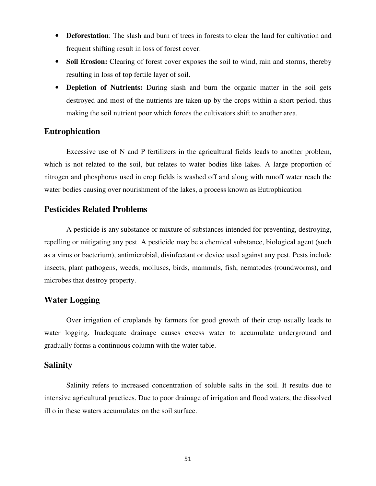- **Deforestation**: The slash and burn of trees in forests to clear the land for cultivation and frequent shifting result in loss of forest cover.
- **Soil Erosion:** Clearing of forest cover exposes the soil to wind, rain and storms, thereby resulting in loss of top fertile layer of soil.
- **Depletion of Nutrients:** During slash and burn the organic matter in the soil gets destroyed and most of the nutrients are taken up by the crops within a short period, thus making the soil nutrient poor which forces the cultivators shift to another area.

# **Eutrophication**

Excessive use of N and P fertilizers in the agricultural fields leads to another problem, which is not related to the soil, but relates to water bodies like lakes. A large proportion of nitrogen and phosphorus used in crop fields is washed off and along with runoff water reach the water bodies causing over nourishment of the lakes, a process known as Eutrophication

# **Pesticides Related Problems**

A pesticide is any substance or mixture of substances intended for preventing, destroying, repelling or mitigating any pest. A pesticide may be a chemical substance, biological agent (such as a virus or bacterium), antimicrobial, disinfectant or device used against any pest. Pests include insects, plant pathogens, weeds, molluscs, birds, mammals, fish, nematodes (roundworms), and microbes that destroy property.

# **Water Logging**

Over irrigation of croplands by farmers for good growth of their crop usually leads to water logging. Inadequate drainage causes excess water to accumulate underground and gradually forms a continuous column with the water table.

# **Salinity**

Salinity refers to increased concentration of soluble salts in the soil. It results due to intensive agricultural practices. Due to poor drainage of irrigation and flood waters, the dissolved ill o in these waters accumulates on the soil surface.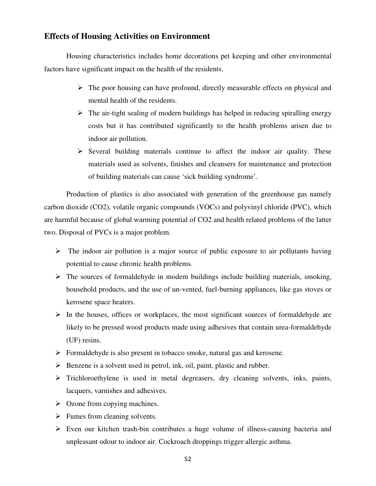# **Effects of Housing Activities on Environment**

Housing characteristics includes home decorations pet keeping and other environmental factors have significant impact on the health of the residents.

- $\triangleright$  The poor housing can have profound, directly measurable effects on physical and mental health of the residents.
- $\triangleright$  The air-tight sealing of modern buildings has helped in reducing spiralling energy costs but it has contributed significantly to the health problems arisen due to indoor air pollution.
- $\triangleright$  Several building materials continue to affect the indoor air quality. These materials used as solvents, finishes and cleansers for maintenance and protection of building materials can cause 'sick building syndrome'.

Production of plastics is also associated with generation of the greenhouse gas namely carbon dioxide (CO2), volatile organic compounds (VOCs) and polyvinyl chloride (PVC), which are harmful because of global warming potential of CO2 and health related problems of the latter two. Disposal of PVCs is a major problem.

- $\triangleright$  The indoor air pollution is a major source of public exposure to air pollutants having potential to cause chronic health problems.
- $\triangleright$  The sources of formaldehyde in modem buildings include building materials, smoking, household products, and the use of un-vented, fuel-burning appliances, like gas stoves or kerosene space heaters.
- $\triangleright$  In the houses, offices or workplaces, the most significant sources of formaldehyde are likely to be pressed wood products made using adhesives that contain urea-formaldehyde (UF) resins.
- $\triangleright$  Formaldehyde is also present in tobacco smoke, natural gas and kerosene.
- $\triangleright$  Benzene is a solvent used in petrol, ink, oil, paint, plastic and rubber.
- Trichloroethylene is used in metal degreasers, dry cleaning solvents, inks, paints, lacquers, varnishes and adhesives.
- $\triangleright$  Ozone from copying machines.
- $\triangleright$  Fumes from cleaning solvents.
- Even our kitchen trash-bin contributes a huge volume of illness-causing bacteria and unpleasant odour to indoor air. Cockroach droppings trigger allergic asthma.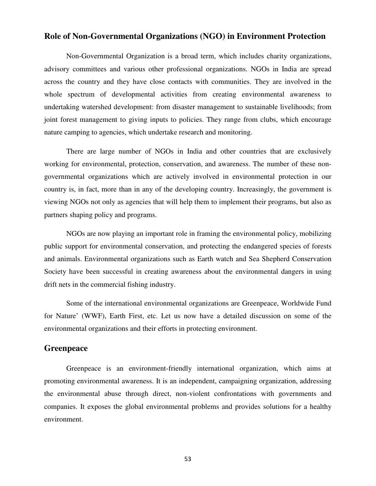# **Role of Non-Governmental Organizations (NGO) in Environment Protection**

Non-Governmental Organization is a broad term, which includes charity organizations, advisory committees and various other professional organizations. NGOs in India are spread across the country and they have close contacts with communities. They are involved in the whole spectrum of developmental activities from creating environmental awareness to undertaking watershed development: from disaster management to sustainable livelihoods; from joint forest management to giving inputs to policies. They range from clubs, which encourage nature camping to agencies, which undertake research and monitoring.

There are large number of NGOs in India and other countries that are exclusively working for environmental, protection, conservation, and awareness. The number of these nongovernmental organizations which are actively involved in environmental protection in our country is, in fact, more than in any of the developing country. Increasingly, the government is viewing NGOs not only as agencies that will help them to implement their programs, but also as partners shaping policy and programs.

NGOs are now playing an important role in framing the environmental policy, mobilizing public support for environmental conservation, and protecting the endangered species of forests and animals. Environmental organizations such as Earth watch and Sea Shepherd Conservation Society have been successful in creating awareness about the environmental dangers in using drift nets in the commercial fishing industry.

Some of the international environmental organizations are Greenpeace, Worldwide Fund for Nature' (WWF), Earth First, etc. Let us now have a detailed discussion on some of the environmental organizations and their efforts in protecting environment.

# **Greenpeace**

Greenpeace is an environment-friendly international organization, which aims at promoting environmental awareness. It is an independent, campaigning organization, addressing the environmental abuse through direct, non-violent confrontations with governments and companies. It exposes the global environmental problems and provides solutions for a healthy environment.

53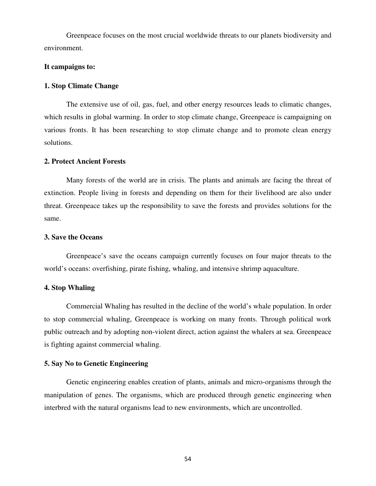Greenpeace focuses on the most crucial worldwide threats to our planets biodiversity and environment.

#### **It campaigns to:**

#### **1. Stop Climate Change**

The extensive use of oil, gas, fuel, and other energy resources leads to climatic changes, which results in global warming. In order to stop climate change, Greenpeace is campaigning on various fronts. It has been researching to stop climate change and to promote clean energy solutions.

#### **2. Protect Ancient Forests**

Many forests of the world are in crisis. The plants and animals are facing the threat of extinction. People living in forests and depending on them for their livelihood are also under threat. Greenpeace takes up the responsibility to save the forests and provides solutions for the same.

#### **3. Save the Oceans**

Greenpeace's save the oceans campaign currently focuses on four major threats to the world's oceans: overfishing, pirate fishing, whaling, and intensive shrimp aquaculture.

#### **4. Stop Whaling**

Commercial Whaling has resulted in the decline of the world's whale population. In order to stop commercial whaling, Greenpeace is working on many fronts. Through political work public outreach and by adopting non-violent direct, action against the whalers at sea. Greenpeace is fighting against commercial whaling.

#### **5. Say No to Genetic Engineering**

Genetic engineering enables creation of plants, animals and micro-organisms through the manipulation of genes. The organisms, which are produced through genetic engineering when interbred with the natural organisms lead to new environments, which are uncontrolled.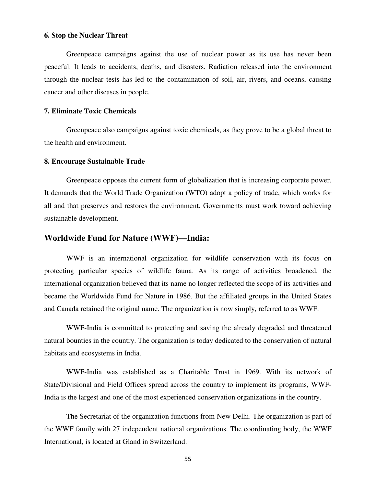#### **6. Stop the Nuclear Threat**

Greenpeace campaigns against the use of nuclear power as its use has never been peaceful. It leads to accidents, deaths, and disasters. Radiation released into the environment through the nuclear tests has led to the contamination of soil, air, rivers, and oceans, causing cancer and other diseases in people.

### **7. Eliminate Toxic Chemicals**

Greenpeace also campaigns against toxic chemicals, as they prove to be a global threat to the health and environment.

#### **8. Encourage Sustainable Trade**

Greenpeace opposes the current form of globalization that is increasing corporate power. It demands that the World Trade Organization (WTO) adopt a policy of trade, which works for all and that preserves and restores the environment. Governments must work toward achieving sustainable development.

# **Worldwide Fund for Nature (WWF)—India:**

WWF is an international organization for wildlife conservation with its focus on protecting particular species of wildlife fauna. As its range of activities broadened, the international organization believed that its name no longer reflected the scope of its activities and became the Worldwide Fund for Nature in 1986. But the affiliated groups in the United States and Canada retained the original name. The organization is now simply, referred to as WWF.

WWF-India is committed to protecting and saving the already degraded and threatened natural bounties in the country. The organization is today dedicated to the conservation of natural habitats and ecosystems in India.

WWF-India was established as a Charitable Trust in 1969. With its network of State/Divisional and Field Offices spread across the country to implement its programs, WWF-India is the largest and one of the most experienced conservation organizations in the country.

The Secretariat of the organization functions from New Delhi. The organization is part of the WWF family with 27 independent national organizations. The coordinating body, the WWF International, is located at Gland in Switzerland.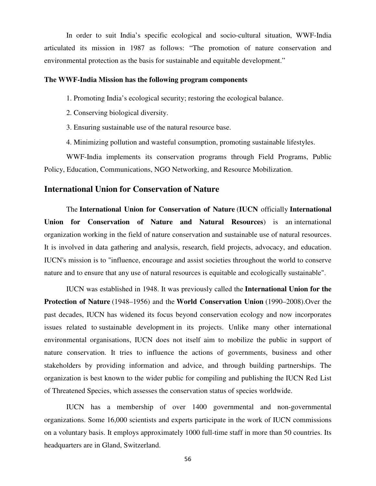In order to suit India's specific ecological and socio-cultural situation, WWF-India articulated its mission in 1987 as follows: "The promotion of nature conservation and environmental protection as the basis for sustainable and equitable development."

#### **The WWF-India Mission has the following program components**

- 1. Promoting India's ecological security; restoring the ecological balance.
- 2. Conserving biological diversity.
- 3. Ensuring sustainable use of the natural resource base.
- 4. Minimizing pollution and wasteful consumption, promoting sustainable lifestyles.

WWF-India implements its conservation programs through Field Programs, Public Policy, Education, Communications, NGO Networking, and Resource Mobilization.

## **International Union for Conservation of Nature**

The **International Union for Conservation of Nature** (**IUCN** officially **International Union for Conservation of Nature and Natural Resources**) is an international organization working in the field of nature conservation and sustainable use of natural resources. It is involved in data gathering and analysis, research, field projects, advocacy, and education. IUCN's mission is to "influence, encourage and assist societies throughout the world to conserve nature and to ensure that any use of natural resources is equitable and ecologically sustainable".

IUCN was established in 1948. It was previously called the **International Union for the Protection of Nature** (1948–1956) and the **World Conservation Union** (1990–2008).Over the past decades, IUCN has widened its focus beyond conservation ecology and now incorporates issues related to sustainable development in its projects. Unlike many other international environmental organisations, IUCN does not itself aim to mobilize the public in support of nature conservation. It tries to influence the actions of governments, business and other stakeholders by providing information and advice, and through building partnerships. The organization is best known to the wider public for compiling and publishing the IUCN Red List of Threatened Species, which assesses the conservation status of species worldwide.

IUCN has a membership of over 1400 governmental and non-governmental organizations. Some 16,000 scientists and experts participate in the work of IUCN commissions on a voluntary basis. It employs approximately 1000 full-time staff in more than 50 countries. Its headquarters are in Gland, Switzerland.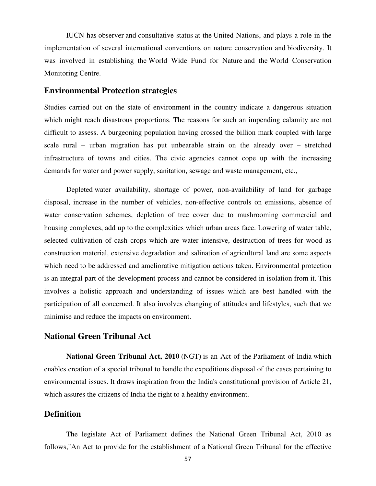IUCN has observer and consultative status at the United Nations, and plays a role in the implementation of several international conventions on nature conservation and biodiversity. It was involved in establishing the World Wide Fund for Nature and the World Conservation Monitoring Centre.

### **Environmental Protection strategies**

Studies carried out on the state of environment in the country indicate a dangerous situation which might reach disastrous proportions. The reasons for such an impending calamity are not difficult to assess. A burgeoning population having crossed the billion mark coupled with large scale rural – urban migration has put unbearable strain on the already over – stretched infrastructure of towns and cities. The civic agencies cannot cope up with the increasing demands for water and power supply, sanitation, sewage and waste management, etc.,

 Depleted water availability, shortage of power, non-availability of land for garbage disposal, increase in the number of vehicles, non-effective controls on emissions, absence of water conservation schemes, depletion of tree cover due to mushrooming commercial and housing complexes, add up to the complexities which urban areas face. Lowering of water table, selected cultivation of cash crops which are water intensive, destruction of trees for wood as construction material, extensive degradation and salination of agricultural land are some aspects which need to be addressed and ameliorative mitigation actions taken. Environmental protection is an integral part of the development process and cannot be considered in isolation from it. This involves a holistic approach and understanding of issues which are best handled with the participation of all concerned. It also involves changing of attitudes and lifestyles, such that we minimise and reduce the impacts on environment.

### **National Green Tribunal Act**

**National Green Tribunal Act, 2010** (NGT) is an Act of the Parliament of India which enables creation of a special tribunal to handle the expeditious disposal of the cases pertaining to environmental issues. It draws inspiration from the India's constitutional provision of Article 21, which assures the citizens of India the right to a healthy environment.

## **Definition**

The legislate Act of Parliament defines the National Green Tribunal Act, 2010 as follows,"An Act to provide for the establishment of a National Green Tribunal for the effective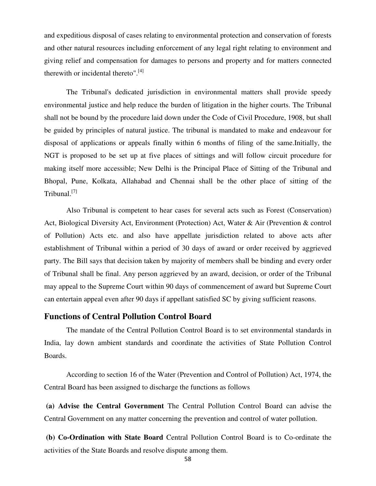and expeditious disposal of cases relating to environmental protection and conservation of forests and other natural resources including enforcement of any legal right relating to environment and giving relief and compensation for damages to persons and property and for matters connected therewith or incidental thereto".<sup>[4]</sup>

The Tribunal's dedicated jurisdiction in environmental matters shall provide speedy environmental justice and help reduce the burden of litigation in the higher courts. The Tribunal shall not be bound by the procedure laid down under the Code of Civil Procedure, 1908, but shall be guided by principles of natural justice. The tribunal is mandated to make and endeavour for disposal of applications or appeals finally within 6 months of filing of the same.Initially, the NGT is proposed to be set up at five places of sittings and will follow circuit procedure for making itself more accessible; New Delhi is the Principal Place of Sitting of the Tribunal and Bhopal, Pune, Kolkata, Allahabad and Chennai shall be the other place of sitting of the Tribunal.<sup>[7]</sup>

Also Tribunal is competent to hear cases for several acts such as Forest (Conservation) Act, Biological Diversity Act, Environment (Protection) Act, Water & Air (Prevention & control of Pollution) Acts etc. and also have appellate jurisdiction related to above acts after establishment of Tribunal within a period of 30 days of award or order received by aggrieved party. The Bill says that decision taken by majority of members shall be binding and every order of Tribunal shall be final. Any person aggrieved by an award, decision, or order of the Tribunal may appeal to the Supreme Court within 90 days of commencement of award but Supreme Court can entertain appeal even after 90 days if appellant satisfied SC by giving sufficient reasons.

### **Functions of Central Pollution Control Board**

The mandate of the Central Pollution Control Board is to set environmental standards in India, lay down ambient standards and coordinate the activities of State Pollution Control Boards.

According to section 16 of the Water (Prevention and Control of Pollution) Act, 1974, the Central Board has been assigned to discharge the functions as follows

**(a) Advise the Central Government** The Central Pollution Control Board can advise the Central Government on any matter concerning the prevention and control of water pollution.

**(b) Co-Ordination with State Board** Central Pollution Control Board is to Co-ordinate the activities of the State Boards and resolve dispute among them.

58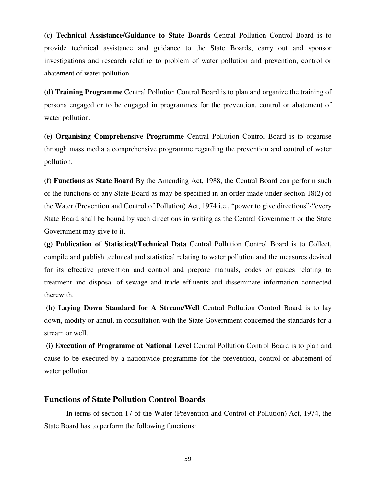**(c) Technical Assistance/Guidance to State Boards** Central Pollution Control Board is to provide technical assistance and guidance to the State Boards, carry out and sponsor investigations and research relating to problem of water pollution and prevention, control or abatement of water pollution.

**(d) Training Programme** Central Pollution Control Board is to plan and organize the training of persons engaged or to be engaged in programmes for the prevention, control or abatement of water pollution.

**(e) Organising Comprehensive Programme** Central Pollution Control Board is to organise through mass media a comprehensive programme regarding the prevention and control of water pollution.

**(f) Functions as State Board** By the Amending Act, 1988, the Central Board can perform such of the functions of any State Board as may be specified in an order made under section 18(2) of the Water (Prevention and Control of Pollution) Act, 1974 i.e., "power to give directions"-"every State Board shall be bound by such directions in writing as the Central Government or the State Government may give to it.

**(g) Publication of Statistical/Technical Data** Central Pollution Control Board is to Collect, compile and publish technical and statistical relating to water pollution and the measures devised for its effective prevention and control and prepare manuals, codes or guides relating to treatment and disposal of sewage and trade effluents and disseminate information connected therewith.

**(h) Laying Down Standard for A Stream/Well** Central Pollution Control Board is to lay down, modify or annul, in consultation with the State Government concerned the standards for a stream or well.

**(i) Execution of Programme at National Level** Central Pollution Control Board is to plan and cause to be executed by a nationwide programme for the prevention, control or abatement of water pollution.

## **Functions of State Pollution Control Boards**

In terms of section 17 of the Water (Prevention and Control of Pollution) Act, 1974, the State Board has to perform the following functions: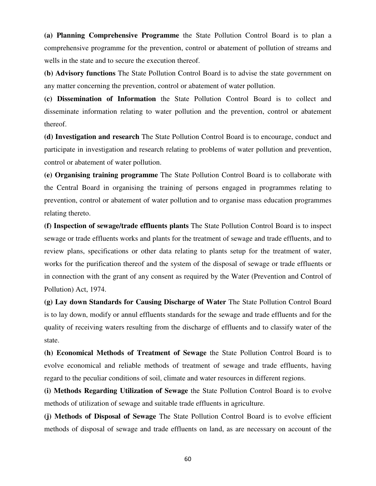**(a) Planning Comprehensive Programme** the State Pollution Control Board is to plan a comprehensive programme for the prevention, control or abatement of pollution of streams and wells in the state and to secure the execution thereof.

**(b) Advisory functions** The State Pollution Control Board is to advise the state government on any matter concerning the prevention, control or abatement of water pollution.

**(c) Dissemination of Information** the State Pollution Control Board is to collect and disseminate information relating to water pollution and the prevention, control or abatement thereof.

**(d) Investigation and research** The State Pollution Control Board is to encourage, conduct and participate in investigation and research relating to problems of water pollution and prevention, control or abatement of water pollution.

**(e) Organising training programme** The State Pollution Control Board is to collaborate with the Central Board in organising the training of persons engaged in programmes relating to prevention, control or abatement of water pollution and to organise mass education programmes relating thereto.

**(f) Inspection of sewage/trade effluents plants** The State Pollution Control Board is to inspect sewage or trade effluents works and plants for the treatment of sewage and trade effluents, and to review plans, specifications or other data relating to plants setup for the treatment of water, works for the purification thereof and the system of the disposal of sewage or trade effluents or in connection with the grant of any consent as required by the Water (Prevention and Control of Pollution) Act, 1974.

**(g) Lay down Standards for Causing Discharge of Water** The State Pollution Control Board is to lay down, modify or annul effluents standards for the sewage and trade effluents and for the quality of receiving waters resulting from the discharge of effluents and to classify water of the state.

**(h) Economical Methods of Treatment of Sewage** the State Pollution Control Board is to evolve economical and reliable methods of treatment of sewage and trade effluents, having regard to the peculiar conditions of soil, climate and water resources in different regions.

**(i) Methods Regarding Utilization of Sewage** the State Pollution Control Board is to evolve methods of utilization of sewage and suitable trade effluents in agriculture.

**(j) Methods of Disposal of Sewage** The State Pollution Control Board is to evolve efficient methods of disposal of sewage and trade effluents on land, as are necessary on account of the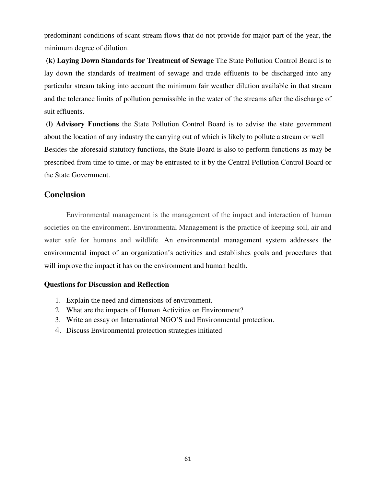predominant conditions of scant stream flows that do not provide for major part of the year, the minimum degree of dilution.

**(k) Laying Down Standards for Treatment of Sewage** The State Pollution Control Board is to lay down the standards of treatment of sewage and trade effluents to be discharged into any particular stream taking into account the minimum fair weather dilution available in that stream and the tolerance limits of pollution permissible in the water of the streams after the discharge of suit effluents.

**(l) Advisory Functions** the State Pollution Control Board is to advise the state government about the location of any industry the carrying out of which is likely to pollute a stream or well Besides the aforesaid statutory functions, the State Board is also to perform functions as may be prescribed from time to time, or may be entrusted to it by the Central Pollution Control Board or the State Government.

# **Conclusion**

Environmental management is the management of the impact and interaction of human societies on the environment. Environmental Management is the practice of keeping soil, air and water safe for humans and wildlife. An environmental management system addresses the environmental impact of an organization's activities and establishes goals and procedures that will improve the impact it has on the environment and human health.

# **Questions for Discussion and Reflection**

- 1. Explain the need and dimensions of environment.
- 2. What are the impacts of Human Activities on Environment?
- 3. Write an essay on International NGO'S and Environmental protection.
- 4. Discuss Environmental protection strategies initiated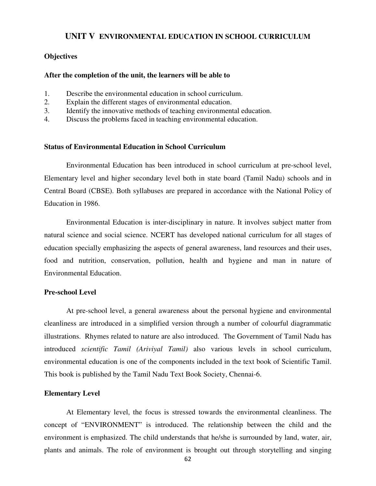### **UNIT V ENVIRONMENTAL EDUCATION IN SCHOOL CURRICULUM**

#### **Objectives**

#### **After the completion of the unit, the learners will be able to**

- 1. Describe the environmental education in school curriculum.
- 2. Explain the different stages of environmental education.
- 3. Identify the innovative methods of teaching environmental education.
- 4. Discuss the problems faced in teaching environmental education.

# **Status of Environmental Education in School Curriculum**

Environmental Education has been introduced in school curriculum at pre-school level, Elementary level and higher secondary level both in state board (Tamil Nadu) schools and in Central Board (CBSE). Both syllabuses are prepared in accordance with the National Policy of Education in 1986.

 Environmental Education is inter-disciplinary in nature. It involves subject matter from natural science and social science. NCERT has developed national curriculum for all stages of education specially emphasizing the aspects of general awareness, land resources and their uses, food and nutrition, conservation, pollution, health and hygiene and man in nature of Environmental Education.

#### **Pre-school Level**

At pre-school level, a general awareness about the personal hygiene and environmental cleanliness are introduced in a simplified version through a number of colourful diagrammatic illustrations. Rhymes related to nature are also introduced. The Government of Tamil Nadu has introduced *scientific Tamil (Ariviyal Tamil)* also various levels in school curriculum, environmental education is one of the components included in the text book of Scientific Tamil. This book is published by the Tamil Nadu Text Book Society, Chennai-6.

#### **Elementary Level**

 At Elementary level, the focus is stressed towards the environmental cleanliness. The concept of "ENVIRONMENT" is introduced. The relationship between the child and the environment is emphasized. The child understands that he/she is surrounded by land, water, air, plants and animals. The role of environment is brought out through storytelling and singing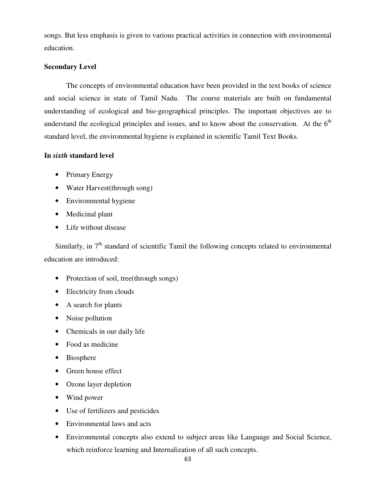songs. But less emphasis is given to various practical activities in connection with environmental education.

## **Secondary Level**

The concepts of environmental education have been provided in the text books of science and social science in state of Tamil Nadu. The course materials are built on fundamental understanding of ecological and bio-geographical principles. The important objectives are to understand the ecological principles and issues, and to know about the conservation. At the  $6<sup>th</sup>$ standard level, the environmental hygiene is explained in scientific Tamil Text Books.

### **In** *sixth* **standard level**

- Primary Energy
- Water Harvest(through song)
- Environmental hygiene
- Medicinal plant
- Life without disease

Similarly, in  $7<sup>th</sup>$  standard of scientific Tamil the following concepts related to environmental education are introduced:

- Protection of soil, tree(through songs)
- Electricity from clouds
- A search for plants
- Noise pollution
- Chemicals in our daily life
- Food as medicine
- Biosphere
- Green house effect
- Ozone layer depletion
- Wind power
- Use of fertilizers and pesticides
- Environmental laws and acts
- Environmental concepts also extend to subject areas like Language and Social Science, which reinforce learning and Internalization of all such concepts.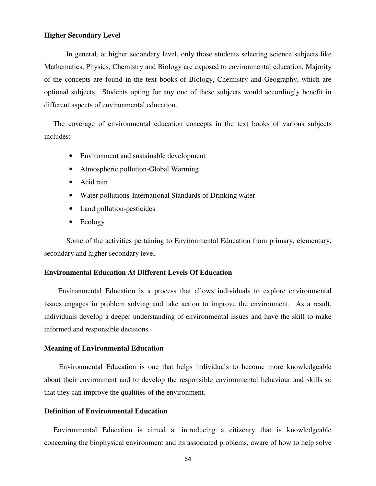#### **Higher Secondary Level**

 In general, at higher secondary level, only those students selecting science subjects like Mathematics, Physics, Chemistry and Biology are exposed to environmental education. Majority of the concepts are found in the text books of Biology, Chemistry and Geography, which are optional subjects. Students opting for any one of these subjects would accordingly benefit in different aspects of environmental education.

 The coverage of environmental education concepts in the text books of various subjects includes:

- Environment and sustainable development
- Atmospheric pollution-Global Warming
- Acid rain
- Water pollutions-International Standards of Drinking water
- Land pollution-pesticides
- Ecology

Some of the activities pertaining to Environmental Education from primary, elementary, secondary and higher secondary level.

#### **Environmental Education At Different Levels Of Education**

Environmental Education is a process that allows individuals to explore environmental issues engages in problem solving and take action to improve the environment. As a result, individuals develop a deeper understanding of environmental issues and have the skill to make informed and responsible decisions.

#### **Meaning of Environmental Education**

 Environmental Education is one that helps individuals to become more knowledgeable about their environment and to develop the responsible environmental behaviour and skills so that they can improve the qualities of the environment.

#### **Definition of Environmental Education**

 Environmental Education is aimed at introducing a citizenry that is knowledgeable concerning the biophysical environment and its associated problems, aware of how to help solve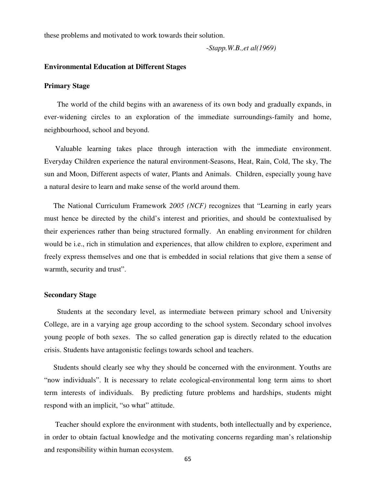these problems and motivated to work towards their solution.

-*Stapp.W.B.,et al(1969)* 

#### **Environmental Education at Different Stages**

#### **Primary Stage**

 The world of the child begins with an awareness of its own body and gradually expands, in ever-widening circles to an exploration of the immediate surroundings-family and home, neighbourhood, school and beyond.

 Valuable learning takes place through interaction with the immediate environment. Everyday Children experience the natural environment-Seasons, Heat, Rain, Cold, The sky, The sun and Moon, Different aspects of water, Plants and Animals. Children, especially young have a natural desire to learn and make sense of the world around them.

 The National Curriculum Framework *2005 (NCF)* recognizes that "Learning in early years must hence be directed by the child's interest and priorities, and should be contextualised by their experiences rather than being structured formally. An enabling environment for children would be i.e., rich in stimulation and experiences, that allow children to explore, experiment and freely express themselves and one that is embedded in social relations that give them a sense of warmth, security and trust".

### **Secondary Stage**

 Students at the secondary level, as intermediate between primary school and University College, are in a varying age group according to the school system. Secondary school involves young people of both sexes. The so called generation gap is directly related to the education crisis. Students have antagonistic feelings towards school and teachers.

 Students should clearly see why they should be concerned with the environment. Youths are "now individuals". It is necessary to relate ecological-environmental long term aims to short term interests of individuals. By predicting future problems and hardships, students might respond with an implicit, "so what" attitude.

Teacher should explore the environment with students, both intellectually and by experience, in order to obtain factual knowledge and the motivating concerns regarding man's relationship and responsibility within human ecosystem.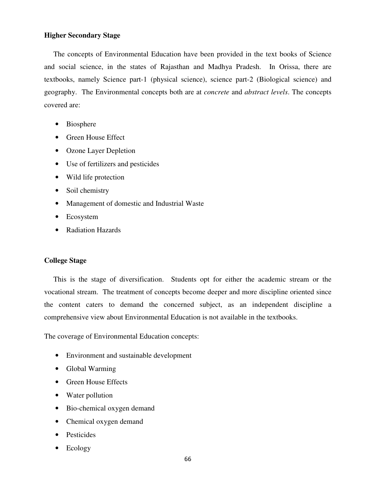### **Higher Secondary Stage**

 The concepts of Environmental Education have been provided in the text books of Science and social science, in the states of Rajasthan and Madhya Pradesh. In Orissa, there are textbooks, namely Science part-1 (physical science), science part-2 (Biological science) and geography. The Environmental concepts both are at *concrete* and *abstract levels*. The concepts covered are:

- Biosphere
- Green House Effect
- Ozone Layer Depletion
- Use of fertilizers and pesticides
- Wild life protection
- Soil chemistry
- Management of domestic and Industrial Waste
- Ecosystem
- Radiation Hazards

## **College Stage**

 This is the stage of diversification. Students opt for either the academic stream or the vocational stream. The treatment of concepts become deeper and more discipline oriented since the content caters to demand the concerned subject, as an independent discipline a comprehensive view about Environmental Education is not available in the textbooks.

The coverage of Environmental Education concepts:

- Environment and sustainable development
- Global Warming
- Green House Effects
- Water pollution
- Bio-chemical oxygen demand
- Chemical oxygen demand
- Pesticides
- Ecology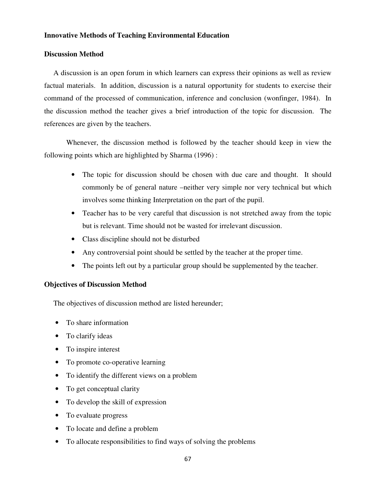### **Innovative Methods of Teaching Environmental Education**

### **Discussion Method**

 A discussion is an open forum in which learners can express their opinions as well as review factual materials. In addition, discussion is a natural opportunity for students to exercise their command of the processed of communication, inference and conclusion (wonfinger, 1984). In the discussion method the teacher gives a brief introduction of the topic for discussion. The references are given by the teachers.

Whenever, the discussion method is followed by the teacher should keep in view the following points which are highlighted by Sharma (1996) :

- The topic for discussion should be chosen with due care and thought. It should commonly be of general nature –neither very simple nor very technical but which involves some thinking Interpretation on the part of the pupil.
- Teacher has to be very careful that discussion is not stretched away from the topic but is relevant. Time should not be wasted for irrelevant discussion.
- Class discipline should not be disturbed
- Any controversial point should be settled by the teacher at the proper time.
- The points left out by a particular group should be supplemented by the teacher.

### **Objectives of Discussion Method**

The objectives of discussion method are listed hereunder;

- To share information
- To clarify ideas
- To inspire interest
- To promote co-operative learning
- To identify the different views on a problem
- To get conceptual clarity
- To develop the skill of expression
- To evaluate progress
- To locate and define a problem
- To allocate responsibilities to find ways of solving the problems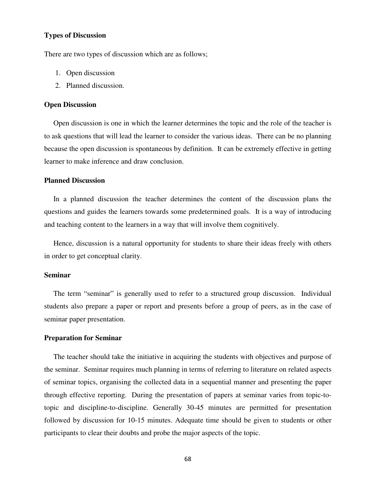### **Types of Discussion**

There are two types of discussion which are as follows;

- 1. Open discussion
- 2. Planned discussion.

#### **Open Discussion**

 Open discussion is one in which the learner determines the topic and the role of the teacher is to ask questions that will lead the learner to consider the various ideas. There can be no planning because the open discussion is spontaneous by definition. It can be extremely effective in getting learner to make inference and draw conclusion.

#### **Planned Discussion**

In a planned discussion the teacher determines the content of the discussion plans the questions and guides the learners towards some predetermined goals. It is a way of introducing and teaching content to the learners in a way that will involve them cognitively.

 Hence, discussion is a natural opportunity for students to share their ideas freely with others in order to get conceptual clarity.

#### **Seminar**

 The term "seminar" is generally used to refer to a structured group discussion. Individual students also prepare a paper or report and presents before a group of peers, as in the case of seminar paper presentation.

#### **Preparation for Seminar**

The teacher should take the initiative in acquiring the students with objectives and purpose of the seminar. Seminar requires much planning in terms of referring to literature on related aspects of seminar topics, organising the collected data in a sequential manner and presenting the paper through effective reporting. During the presentation of papers at seminar varies from topic-totopic and discipline-to-discipline. Generally 30-45 minutes are permitted for presentation followed by discussion for 10-15 minutes. Adequate time should be given to students or other participants to clear their doubts and probe the major aspects of the topic.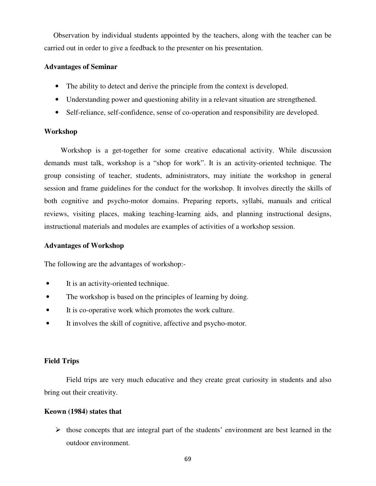Observation by individual students appointed by the teachers, along with the teacher can be carried out in order to give a feedback to the presenter on his presentation.

### **Advantages of Seminar**

- The ability to detect and derive the principle from the context is developed.
- Understanding power and questioning ability in a relevant situation are strengthened.
- Self-reliance, self-confidence, sense of co-operation and responsibility are developed.

### **Workshop**

 Workshop is a get-together for some creative educational activity. While discussion demands must talk, workshop is a "shop for work". It is an activity-oriented technique. The group consisting of teacher, students, administrators, may initiate the workshop in general session and frame guidelines for the conduct for the workshop. It involves directly the skills of both cognitive and psycho-motor domains. Preparing reports, syllabi, manuals and critical reviews, visiting places, making teaching-learning aids, and planning instructional designs, instructional materials and modules are examples of activities of a workshop session.

### **Advantages of Workshop**

The following are the advantages of workshop:-

- It is an activity-oriented technique.
- The workshop is based on the principles of learning by doing.
- It is co-operative work which promotes the work culture.
- It involves the skill of cognitive, affective and psycho-motor.

### **Field Trips**

 Field trips are very much educative and they create great curiosity in students and also bring out their creativity.

#### **Keown (1984) states that**

 $\triangleright$  those concepts that are integral part of the students' environment are best learned in the outdoor environment.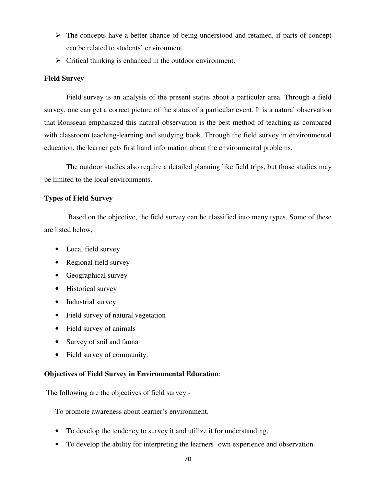- $\triangleright$  The concepts have a better chance of being understood and retained, if parts of concept can be related to students' environment.
- $\triangleright$  Critical thinking is enhanced in the outdoor environment.

# **Field Survey**

 Field survey is an analysis of the present status about a particular area. Through a field survey, one can get a correct picture of the status of a particular event. It is a natural observation that Rousseau emphasized this natural observation is the best method of teaching as compared with classroom teaching-learning and studying book. Through the field survey in environmental education, the learner gets first hand information about the environmental problems.

 The outdoor studies also require a detailed planning like field trips, but those studies may be limited to the local environments.

# **Types of Field Survey**

 Based on the objective, the field survey can be classified into many types. Some of these are listed below,

- Local field survey
- Regional field survey
- Geographical survey
- Historical survey
- Industrial survey
- Field survey of natural vegetation
- Field survey of animals
- Survey of soil and fauna
- Field survey of community.

# **Objectives of Field Survey in Environmental Education**:

The following are the objectives of field survey:-

To promote awareness about learner's environment.

- To develop the tendency to survey it and utilize it for understanding.
- To develop the ability for interpreting the learners' own experience and observation.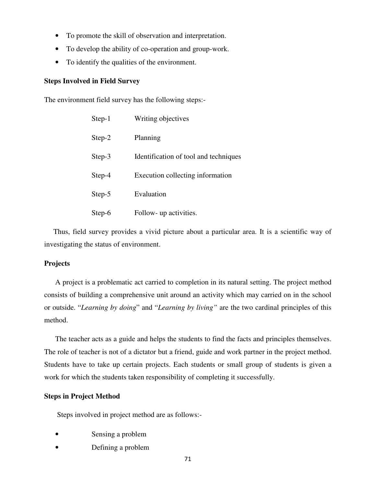- To promote the skill of observation and interpretation.
- To develop the ability of co-operation and group-work.
- To identify the qualities of the environment.

### **Steps Involved in Field Survey**

The environment field survey has the following steps:-

| Step-1 | Writing objectives                    |
|--------|---------------------------------------|
| Step-2 | Planning                              |
| Step-3 | Identification of tool and techniques |
| Step-4 | Execution collecting information      |
| Step-5 | Evaluation                            |
| Step-6 | Follow- up activities.                |

 Thus, field survey provides a vivid picture about a particular area. It is a scientific way of investigating the status of environment.

### **Projects**

 A project is a problematic act carried to completion in its natural setting. The project method consists of building a comprehensive unit around an activity which may carried on in the school or outside. "*Learning by doing*" and "*Learning by living"* are the two cardinal principles of this method.

 The teacher acts as a guide and helps the students to find the facts and principles themselves. The role of teacher is not of a dictator but a friend, guide and work partner in the project method. Students have to take up certain projects. Each students or small group of students is given a work for which the students taken responsibility of completing it successfully.

### **Steps in Project Method**

Steps involved in project method are as follows:-

- Sensing a problem
- Defining a problem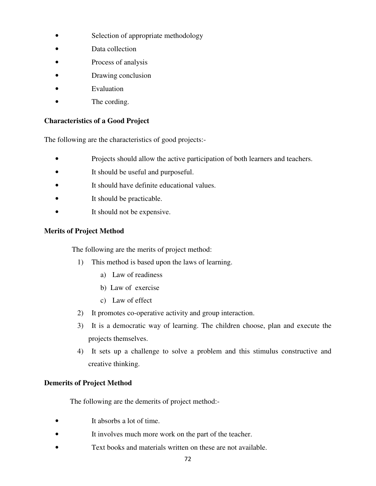- Selection of appropriate methodology
- Data collection
- Process of analysis
- Drawing conclusion
- **Evaluation**
- The cording.

# **Characteristics of a Good Project**

The following are the characteristics of good projects:-

- Projects should allow the active participation of both learners and teachers.
- It should be useful and purposeful.
- It should have definite educational values.
- It should be practicable.
- It should not be expensive.

# **Merits of Project Method**

The following are the merits of project method:

- 1) This method is based upon the laws of learning.
	- a) Law of readiness
	- b) Law of exercise
	- c) Law of effect
- 2) It promotes co-operative activity and group interaction.
- 3) It is a democratic way of learning. The children choose, plan and execute the projects themselves.
- 4) It sets up a challenge to solve a problem and this stimulus constructive and creative thinking.

# **Demerits of Project Method**

The following are the demerits of project method:-

- It absorbs a lot of time.
- It involves much more work on the part of the teacher.
- Text books and materials written on these are not available.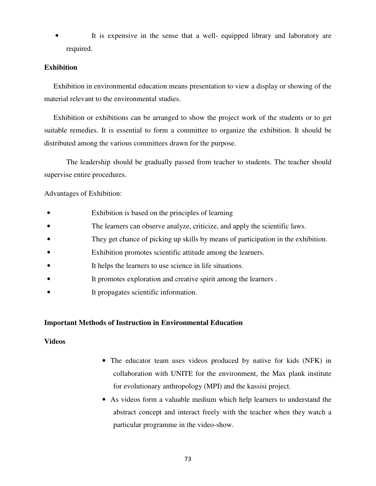It is expensive in the sense that a well- equipped library and laboratory are required.

### **Exhibition**

 Exhibition in environmental education means presentation to view a display or showing of the material relevant to the environmental studies.

 Exhibition or exhibitions can be arranged to show the project work of the students or to get suitable remedies. It is essential to form a committee to organize the exhibition. It should be distributed among the various committees drawn for the purpose.

 The leadership should be gradually passed from teacher to students. The teacher should supervise entire procedures.

Advantages of Exhibition:

- Exhibition is based on the principles of learning
- The learners can observe analyze, criticize, and apply the scientific laws.
- They get chance of picking up skills by means of participation in the exhibition.
- Exhibition promotes scientific attitude among the learners.
- It helps the learners to use science in life situations.
- It promotes exploration and creative spirit among the learners.
- It propagates scientific information.

## **Important Methods of Instruction in Environmental Education**

### **Videos**

- The educator team uses videos produced by native for kids (NFK) in collaboration with UNITE for the environment, the Max plank institute for evolutionary anthropology (MPI) and the kassisi project.
- As videos form a valuable medium which help learners to understand the abstract concept and interact freely with the teacher when they watch a particular programme in the video-show.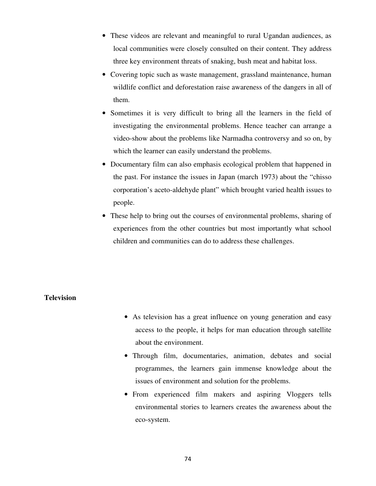- These videos are relevant and meaningful to rural Ugandan audiences, as local communities were closely consulted on their content. They address three key environment threats of snaking, bush meat and habitat loss.
- Covering topic such as waste management, grassland maintenance, human wildlife conflict and deforestation raise awareness of the dangers in all of them.
- Sometimes it is very difficult to bring all the learners in the field of investigating the environmental problems. Hence teacher can arrange a video-show about the problems like Narmadha controversy and so on, by which the learner can easily understand the problems.
- Documentary film can also emphasis ecological problem that happened in the past. For instance the issues in Japan (march 1973) about the "chisso corporation's aceto-aldehyde plant" which brought varied health issues to people.
- These help to bring out the courses of environmental problems, sharing of experiences from the other countries but most importantly what school children and communities can do to address these challenges.

# **Television**

- As television has a great influence on young generation and easy access to the people, it helps for man education through satellite about the environment.
- Through film, documentaries, animation, debates and social programmes, the learners gain immense knowledge about the issues of environment and solution for the problems.
- From experienced film makers and aspiring Vloggers tells environmental stories to learners creates the awareness about the eco-system.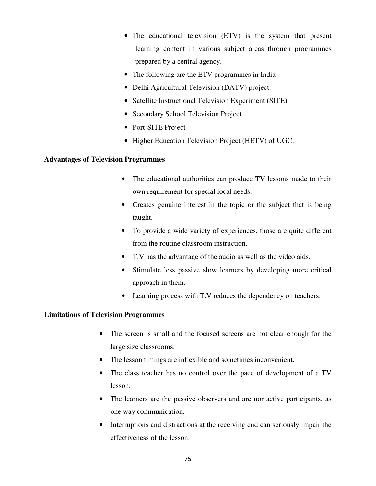- The educational television (ETV) is the system that present learning content in various subject areas through programmes prepared by a central agency.
- The following are the ETV programmes in India
- Delhi Agricultural Television (DATV) project.
- Satellite Instructional Television Experiment (SITE)
- Secondary School Television Project
- Port-SITE Project
- Higher Education Television Project (HETV) of UGC.

# **Advantages of Television Programmes**

- The educational authorities can produce TV lessons made to their own requirement for special local needs.
- Creates genuine interest in the topic or the subject that is being taught.
- To provide a wide variety of experiences, those are quite different from the routine classroom instruction.
- T.V has the advantage of the audio as well as the video aids.
- Stimulate less passive slow learners by developing more critical approach in them.
- Learning process with T.V reduces the dependency on teachers.

## **Limitations of Television Programmes**

- The screen is small and the focused screens are not clear enough for the large size classrooms.
- The lesson timings are inflexible and sometimes inconvenient.
- The class teacher has no control over the pace of development of a TV lesson.
- The learners are the passive observers and are nor active participants, as one way communication.
- Interruptions and distractions at the receiving end can seriously impair the effectiveness of the lesson.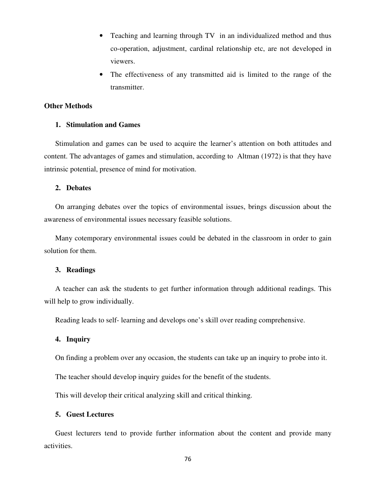- Teaching and learning through TV in an individualized method and thus co-operation, adjustment, cardinal relationship etc, are not developed in viewers.
- The effectiveness of any transmitted aid is limited to the range of the transmitter.

### **Other Methods**

### **1. Stimulation and Games**

Stimulation and games can be used to acquire the learner's attention on both attitudes and content. The advantages of games and stimulation, according to Altman (1972) is that they have intrinsic potential, presence of mind for motivation.

#### **2. Debates**

On arranging debates over the topics of environmental issues, brings discussion about the awareness of environmental issues necessary feasible solutions.

Many cotemporary environmental issues could be debated in the classroom in order to gain solution for them.

### **3. Readings**

A teacher can ask the students to get further information through additional readings. This will help to grow individually.

Reading leads to self- learning and develops one's skill over reading comprehensive.

### **4. Inquiry**

On finding a problem over any occasion, the students can take up an inquiry to probe into it.

The teacher should develop inquiry guides for the benefit of the students.

This will develop their critical analyzing skill and critical thinking.

#### **5. Guest Lectures**

Guest lecturers tend to provide further information about the content and provide many activities.

76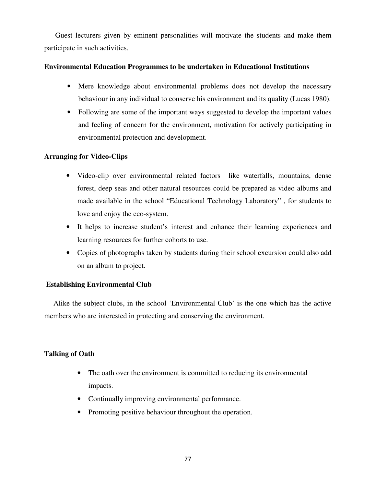Guest lecturers given by eminent personalities will motivate the students and make them participate in such activities.

# **Environmental Education Programmes to be undertaken in Educational Institutions**

- Mere knowledge about environmental problems does not develop the necessary behaviour in any individual to conserve his environment and its quality (Lucas 1980).
- Following are some of the important ways suggested to develop the important values and feeling of concern for the environment, motivation for actively participating in environmental protection and development.

# **Arranging for Video-Clips**

- Video-clip over environmental related factors like waterfalls, mountains, dense forest, deep seas and other natural resources could be prepared as video albums and made available in the school "Educational Technology Laboratory" , for students to love and enjoy the eco-system.
- It helps to increase student's interest and enhance their learning experiences and learning resources for further cohorts to use.
- Copies of photographs taken by students during their school excursion could also add on an album to project.

# **Establishing Environmental Club**

 Alike the subject clubs, in the school 'Environmental Club' is the one which has the active members who are interested in protecting and conserving the environment.

# **Talking of Oath**

- The oath over the environment is committed to reducing its environmental impacts.
- Continually improving environmental performance.
- Promoting positive behaviour throughout the operation.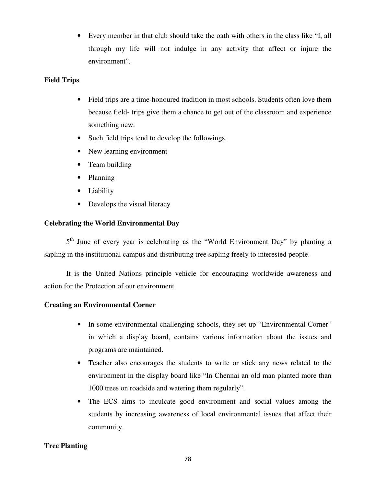• Every member in that club should take the oath with others in the class like "I, all through my life will not indulge in any activity that affect or injure the environment".

# **Field Trips**

- Field trips are a time-honoured tradition in most schools. Students often love them because field- trips give them a chance to get out of the classroom and experience something new.
- Such field trips tend to develop the followings.
- New learning environment
- Team building
- Planning
- Liability
- Develops the visual literacy

# **Celebrating the World Environmental Day**

5<sup>th</sup> June of every year is celebrating as the "World Environment Day" by planting a sapling in the institutional campus and distributing tree sapling freely to interested people.

 It is the United Nations principle vehicle for encouraging worldwide awareness and action for the Protection of our environment.

## **Creating an Environmental Corner**

- In some environmental challenging schools, they set up "Environmental Corner" in which a display board, contains various information about the issues and programs are maintained.
- Teacher also encourages the students to write or stick any news related to the environment in the display board like "In Chennai an old man planted more than 1000 trees on roadside and watering them regularly".
- The ECS aims to inculcate good environment and social values among the students by increasing awareness of local environmental issues that affect their community.

## **Tree Planting**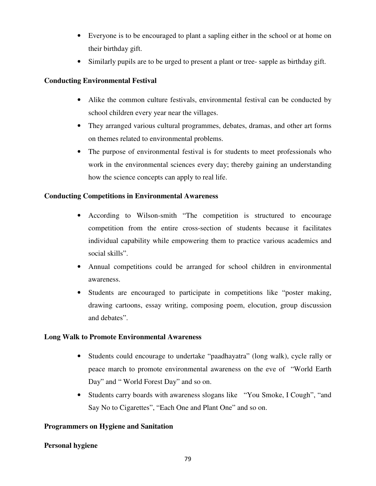- Everyone is to be encouraged to plant a sapling either in the school or at home on their birthday gift.
- Similarly pupils are to be urged to present a plant or tree- sapple as birthday gift.

# **Conducting Environmental Festival**

- Alike the common culture festivals, environmental festival can be conducted by school children every year near the villages.
- They arranged various cultural programmes, debates, dramas, and other art forms on themes related to environmental problems.
- The purpose of environmental festival is for students to meet professionals who work in the environmental sciences every day; thereby gaining an understanding how the science concepts can apply to real life.

# **Conducting Competitions in Environmental Awareness**

- According to Wilson-smith "The competition is structured to encourage competition from the entire cross-section of students because it facilitates individual capability while empowering them to practice various academics and social skills".
- Annual competitions could be arranged for school children in environmental awareness.
- Students are encouraged to participate in competitions like "poster making, drawing cartoons, essay writing, composing poem, elocution, group discussion and debates".

# **Long Walk to Promote Environmental Awareness**

- Students could encourage to undertake "paadhayatra" (long walk), cycle rally or peace march to promote environmental awareness on the eve of "World Earth Day" and " World Forest Day" and so on.
- Students carry boards with awareness slogans like "You Smoke, I Cough", "and Say No to Cigarettes", "Each One and Plant One" and so on.

# **Programmers on Hygiene and Sanitation**

# **Personal hygiene**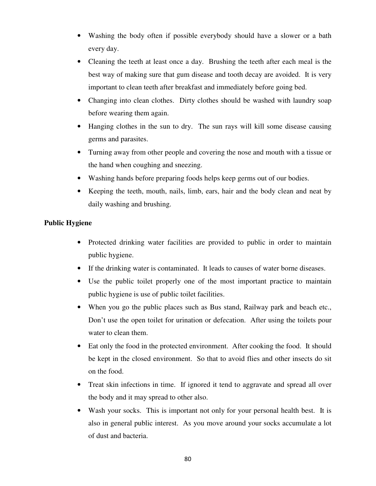- Washing the body often if possible everybody should have a slower or a bath every day.
- Cleaning the teeth at least once a day. Brushing the teeth after each meal is the best way of making sure that gum disease and tooth decay are avoided. It is very important to clean teeth after breakfast and immediately before going bed.
- Changing into clean clothes. Dirty clothes should be washed with laundry soap before wearing them again.
- Hanging clothes in the sun to dry. The sun rays will kill some disease causing germs and parasites.
- Turning away from other people and covering the nose and mouth with a tissue or the hand when coughing and sneezing.
- Washing hands before preparing foods helps keep germs out of our bodies.
- Keeping the teeth, mouth, nails, limb, ears, hair and the body clean and neat by daily washing and brushing.

# **Public Hygiene**

- Protected drinking water facilities are provided to public in order to maintain public hygiene.
- If the drinking water is contaminated. It leads to causes of water borne diseases.
- Use the public toilet properly one of the most important practice to maintain public hygiene is use of public toilet facilities.
- When you go the public places such as Bus stand, Railway park and beach etc., Don't use the open toilet for urination or defecation. After using the toilets pour water to clean them.
- Eat only the food in the protected environment. After cooking the food. It should be kept in the closed environment. So that to avoid flies and other insects do sit on the food.
- Treat skin infections in time. If ignored it tend to aggravate and spread all over the body and it may spread to other also.
- Wash your socks. This is important not only for your personal health best. It is also in general public interest. As you move around your socks accumulate a lot of dust and bacteria.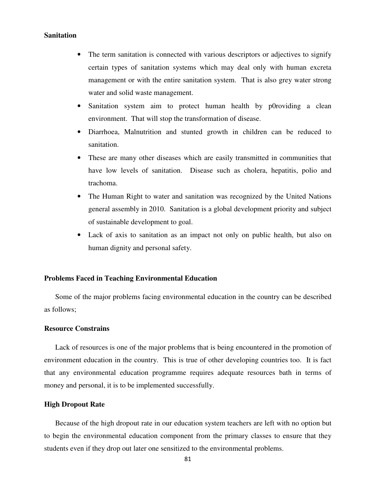### **Sanitation**

- The term sanitation is connected with various descriptors or adjectives to signify certain types of sanitation systems which may deal only with human excreta management or with the entire sanitation system. That is also grey water strong water and solid waste management.
- Sanitation system aim to protect human health by p0roviding a clean environment. That will stop the transformation of disease.
- Diarrhoea, Malnutrition and stunted growth in children can be reduced to sanitation.
- These are many other diseases which are easily transmitted in communities that have low levels of sanitation. Disease such as cholera, hepatitis, polio and trachoma.
- The Human Right to water and sanitation was recognized by the United Nations general assembly in 2010. Sanitation is a global development priority and subject of sustainable development to goal.
- Lack of axis to sanitation as an impact not only on public health, but also on human dignity and personal safety.

#### **Problems Faced in Teaching Environmental Education**

Some of the major problems facing environmental education in the country can be described as follows;

#### **Resource Constrains**

Lack of resources is one of the major problems that is being encountered in the promotion of environment education in the country. This is true of other developing countries too. It is fact that any environmental education programme requires adequate resources bath in terms of money and personal, it is to be implemented successfully.

#### **High Dropout Rate**

Because of the high dropout rate in our education system teachers are left with no option but to begin the environmental education component from the primary classes to ensure that they students even if they drop out later one sensitized to the environmental problems.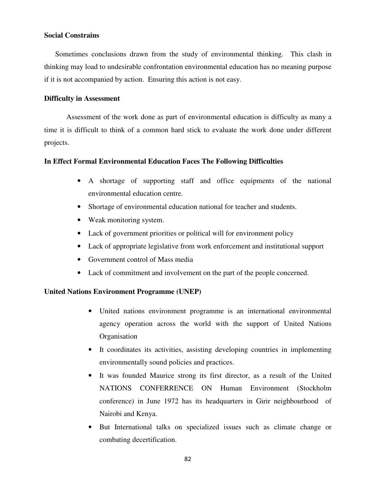### **Social Constrains**

Sometimes conclusions drawn from the study of environmental thinking. This clash in thinking may load to undesirable confrontation environmental education has no meaning purpose if it is not accompanied by action. Ensuring this action is not easy.

### **Difficulty in Assessment**

Assessment of the work done as part of environmental education is difficulty as many a time it is difficult to think of a common hard stick to evaluate the work done under different projects.

### **In Effect Formal Environmental Education Faces The Following Difficulties**

- A shortage of supporting staff and office equipments of the national environmental education centre.
- Shortage of environmental education national for teacher and students.
- Weak monitoring system.
- Lack of government priorities or political will for environment policy
- Lack of appropriate legislative from work enforcement and institutional support
- Government control of Mass media
- Lack of commitment and involvement on the part of the people concerned.

## **United Nations Environment Programme (UNEP)**

- United nations environment programme is an international environmental agency operation across the world with the support of United Nations **Organisation**
- It coordinates its activities, assisting developing countries in implementing environmentally sound policies and practices.
- It was founded Maurice strong its first director, as a result of the United NATIONS CONFERRENCE ON Human Environment (Stockholm conference) in June 1972 has its headquarters in Girir neighbourhood of Nairobi and Kenya.
- But International talks on specialized issues such as climate change or combating decertification.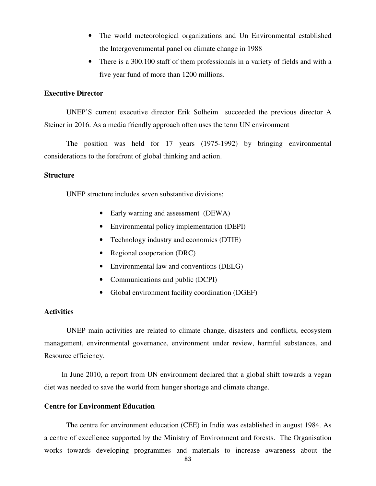- The world meteorological organizations and Un Environmental established the Intergovernmental panel on climate change in 1988
- There is a 300.100 staff of them professionals in a variety of fields and with a five year fund of more than 1200 millions.

# **Executive Director**

UNEP'S current executive director Erik Solheim succeeded the previous director A Steiner in 2016. As a media friendly approach often uses the term UN environment

The position was held for 17 years (1975-1992) by bringing environmental considerations to the forefront of global thinking and action.

### **Structure**

UNEP structure includes seven substantive divisions;

- Early warning and assessment (DEWA)
- Environmental policy implementation (DEPI)
- Technology industry and economics (DTIE)
- Regional cooperation (DRC)
- Environmental law and conventions (DELG)
- Communications and public (DCPI)
- Global environment facility coordination (DGEF)

## **Activities**

UNEP main activities are related to climate change, disasters and conflicts, ecosystem management, environmental governance, environment under review, harmful substances, and Resource efficiency.

In June 2010, a report from UN environment declared that a global shift towards a vegan diet was needed to save the world from hunger shortage and climate change.

### **Centre for Environment Education**

The centre for environment education (CEE) in India was established in august 1984. As a centre of excellence supported by the Ministry of Environment and forests. The Organisation works towards developing programmes and materials to increase awareness about the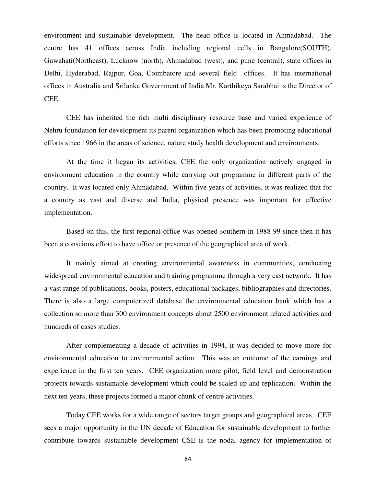environment and sustainable development. The head office is located in Ahmadabad. The centre has 41 offices across India including regional cells in Bangalore(SOUTH), Guwahati(Northeast), Lucknow (north), Ahmadabad (west), and pune (central), state offices in Delhi, Hyderabad, Rajpur, Goa, Coimbatore and several field offices. It has international offices in Australia and Srilanka Government of India Mr. Karthikeya Sarabhai is the Director of CEE.

CEE has inherited the rich multi disciplinary resource base and varied experience of Nehru foundation for development its parent organization which has been promoting educational efforts since 1966 in the areas of science, nature study health development and environments.

At the time it began its activities, CEE the only organization actively engaged in environment education in the country while carrying out programme in different parts of the country. It was located only Ahmadabad. Within five years of activities, it was realized that for a country as vast and diverse and India, physical presence was important for effective implementation.

Based on this, the first regional office was opened southern in 1988-99 since then it has been a conscious effort to have office or presence of the geographical area of work.

It mainly aimed at creating environmental awareness in communities, conducting widespread environmental education and training programme through a very cast network. It has a vast range of publications, books, posters, educational packages, bibliographies and directories. There is also a large computerized database the environmental education bank which has a collection so more than 300 environment concepts about 2500 environment related activities and hundreds of cases studies.

After complementing a decade of activities in 1994, it was decided to move more for environmental education to environmental action. This was an outcome of the earnings and experience in the first ten years. CEE organization more pilot, field level and demonstration projects towards sustainable development which could be scaled up and replication. Within the next ten years, these projects formed a major chunk of centre activities.

Today CEE works for a wide range of sectors target groups and geographical areas. CEE sees a major opportunity in the UN decade of Education for sustainable development to further contribute towards sustainable development CSE is the nodal agency for implementation of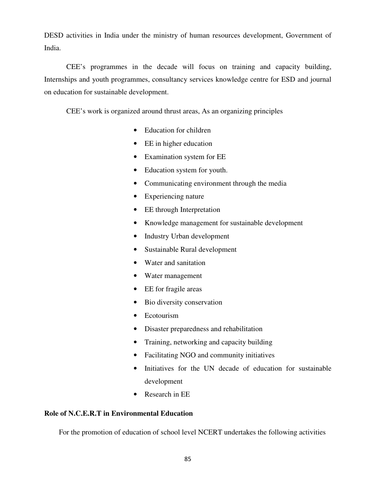DESD activities in India under the ministry of human resources development, Government of India.

CEE's programmes in the decade will focus on training and capacity building, Internships and youth programmes, consultancy services knowledge centre for ESD and journal on education for sustainable development.

CEE's work is organized around thrust areas, As an organizing principles

- Education for children
- EE in higher education
- Examination system for EE
- Education system for youth.
- Communicating environment through the media
- Experiencing nature
- EE through Interpretation
- Knowledge management for sustainable development
- Industry Urban development
- Sustainable Rural development
- Water and sanitation
- Water management
- EE for fragile areas
- Bio diversity conservation
- Ecotourism
- Disaster preparedness and rehabilitation
- Training, networking and capacity building
- Facilitating NGO and community initiatives
- Initiatives for the UN decade of education for sustainable development
- Research in EE

# **Role of N.C.E.R.T in Environmental Education**

For the promotion of education of school level NCERT undertakes the following activities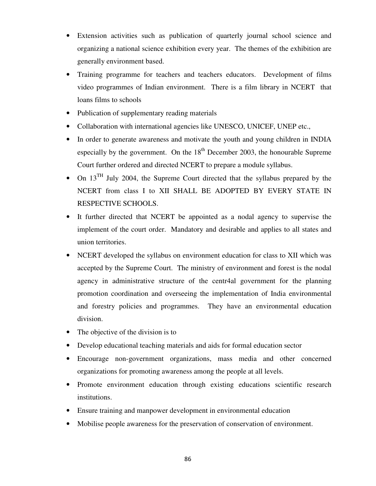- Extension activities such as publication of quarterly journal school science and organizing a national science exhibition every year. The themes of the exhibition are generally environment based.
- Training programme for teachers and teachers educators. Development of films video programmes of Indian environment. There is a film library in NCERT that loans films to schools
- Publication of supplementary reading materials
- Collaboration with international agencies like UNESCO, UNICEF, UNEP etc.,
- In order to generate awareness and motivate the youth and young children in INDIA especially by the government. On the  $18<sup>th</sup>$  December 2003, the honourable Supreme Court further ordered and directed NCERT to prepare a module syllabus.
- On  $13^{TH}$  July 2004, the Supreme Court directed that the syllabus prepared by the NCERT from class I to XII SHALL BE ADOPTED BY EVERY STATE IN RESPECTIVE SCHOOLS.
- It further directed that NCERT be appointed as a nodal agency to supervise the implement of the court order. Mandatory and desirable and applies to all states and union territories.
- NCERT developed the syllabus on environment education for class to XII which was accepted by the Supreme Court. The ministry of environment and forest is the nodal agency in administrative structure of the centr4al government for the planning promotion coordination and overseeing the implementation of India environmental and forestry policies and programmes. They have an environmental education division.
- The objective of the division is to
- Develop educational teaching materials and aids for formal education sector
- Encourage non-government organizations, mass media and other concerned organizations for promoting awareness among the people at all levels.
- Promote environment education through existing educations scientific research institutions.
- Ensure training and manpower development in environmental education
- Mobilise people awareness for the preservation of conservation of environment.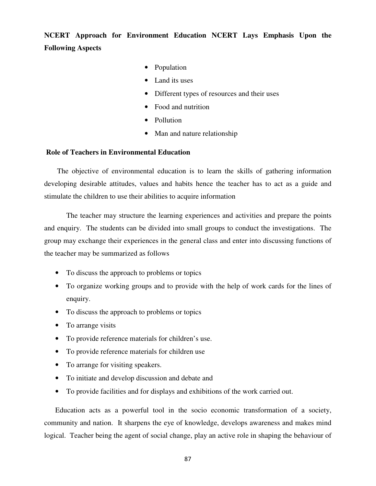**NCERT Approach for Environment Education NCERT Lays Emphasis Upon the Following Aspects**

- Population
- Land its uses
- Different types of resources and their uses
- Food and nutrition
- Pollution
- Man and nature relationship

### **Role of Teachers in Environmental Education**

 The objective of environmental education is to learn the skills of gathering information developing desirable attitudes, values and habits hence the teacher has to act as a guide and stimulate the children to use their abilities to acquire information

 The teacher may structure the learning experiences and activities and prepare the points and enquiry. The students can be divided into small groups to conduct the investigations. The group may exchange their experiences in the general class and enter into discussing functions of the teacher may be summarized as follows

- To discuss the approach to problems or topics
- To organize working groups and to provide with the help of work cards for the lines of enquiry.
- To discuss the approach to problems or topics
- To arrange visits
- To provide reference materials for children's use.
- To provide reference materials for children use
- To arrange for visiting speakers.
- To initiate and develop discussion and debate and
- To provide facilities and for displays and exhibitions of the work carried out.

Education acts as a powerful tool in the socio economic transformation of a society, community and nation. It sharpens the eye of knowledge, develops awareness and makes mind logical. Teacher being the agent of social change, play an active role in shaping the behaviour of